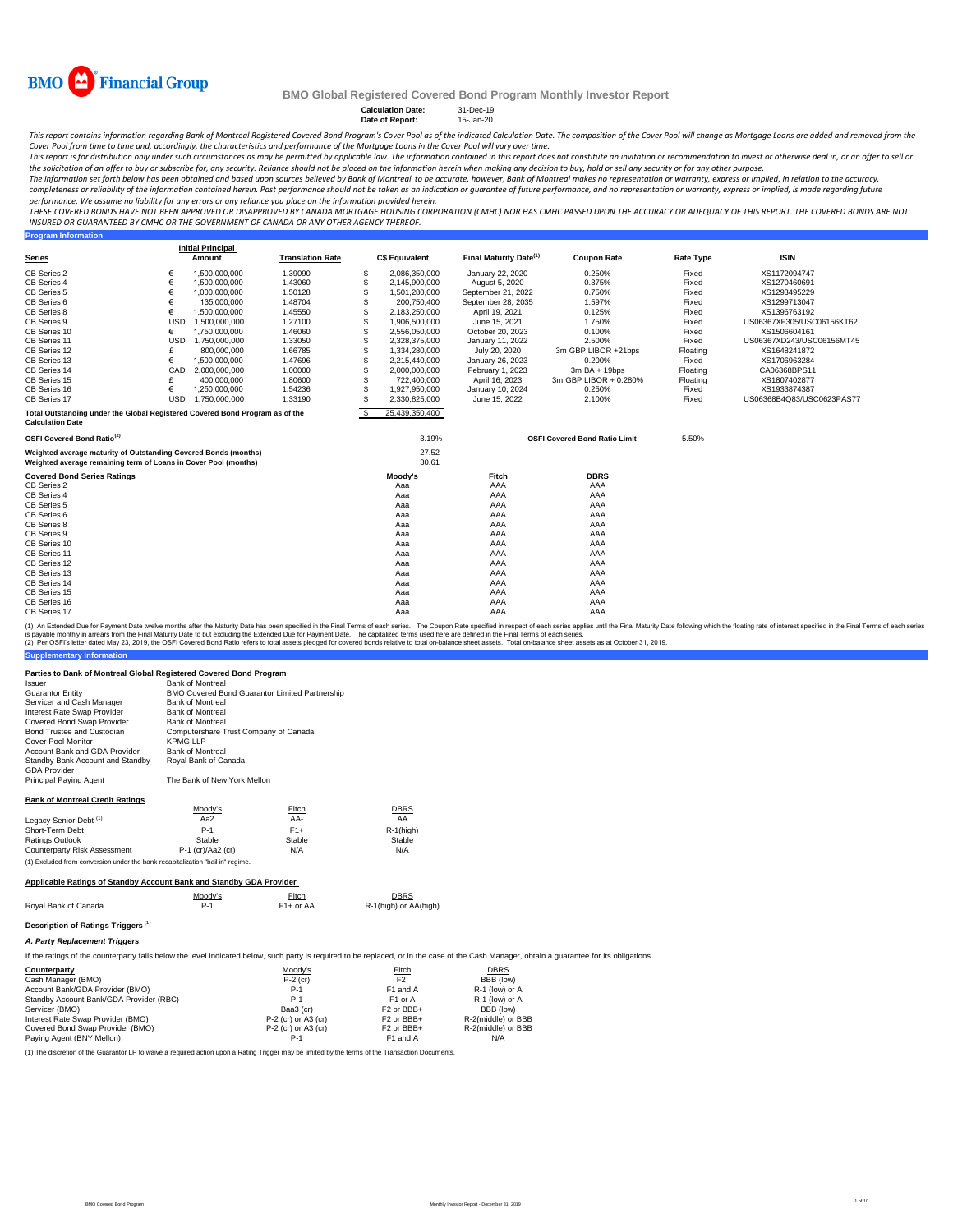

**Program Information**

## **BMO Global Registered Covered Bond Program Monthly Investor Report**

**Calculation Date:** 31-Dec-19 **Date of Report:** 15-Jan-20

This report contains information regarding Bank of Montreal Registered Covered Bond Program's Cover Pool as of the indicated Calculation Date. The composition of the Cover Pool will change as Mortgage Loans are added and r

Cover Pool from time to time and, accordingly, the characteristics and performance of the Mortgage Loans in the Cover Pool will vary over time.<br>This report is for distribution only under such circumstances as may be permit the solicitation of an offer to buy or subscribe for, any security. Reliance should not be placed on the information herein when *making any decision to buy, hold or sell any security or for any other purpose.* 

The information set forth below has been obtained and based upon sources believed by Bank of Montreal to be accurate, however, Bank of Montreal makes no representation or warranty, express or implied, in relation to the ac

*performance. We assume no liability for any errors or any reliance you place on the information provided herein.*

.<br>THESE COVERED BONDS HAVE NOT BEEN APPROVED OR DISAPPROVED BY CANADA MORTGAGE HOUSING CORPORATION (CMHC) NOR HAS CMHC PASSED UPON THE ACCURACY OR ADEQUACY OF THIS REPORT. THE COVERED BONDS ARE NOT *INSURED OR GUARANTEED BY CMHC OR THE GOVERNMENT OF CANADA OR ANY OTHER AGENCY THEREOF.*

|                                                                                                                                    |            | <b>Initial Principal</b> |                         |          |                       |                                    |                                      |                  |                           |
|------------------------------------------------------------------------------------------------------------------------------------|------------|--------------------------|-------------------------|----------|-----------------------|------------------------------------|--------------------------------------|------------------|---------------------------|
| <b>Series</b>                                                                                                                      |            | Amount                   | <b>Translation Rate</b> |          | <b>C\$ Equivalent</b> | Final Maturity Date <sup>(1)</sup> | <b>Coupon Rate</b>                   | <b>Rate Type</b> | <b>ISIN</b>               |
| CB Series 2                                                                                                                        | €          | 1,500,000,000            | 1.39090                 | -S       | 2,086,350,000         | January 22, 2020                   | 0.250%                               | Fixed            | XS1172094747              |
| CB Series 4                                                                                                                        | €          | 1,500,000,000            | 1.43060                 | S        | 2,145,900,000         | August 5, 2020                     | 0.375%                               | Fixed            | XS1270460691              |
| CB Series 5                                                                                                                        | €          | 1,000,000,000            | 1.50128                 | S        | 1,501,280,000         | September 21, 2022                 | 0.750%                               | Fixed            | XS1293495229              |
| CB Series 6                                                                                                                        |            | 135,000,000              | 1.48704                 | S        | 200,750,400           | September 28, 2035                 | 1.597%                               | Fixed            | XS1299713047              |
| CB Series 8                                                                                                                        | €          | 1,500,000,000            | 1.45550                 | S        | 2,183,250,000         | April 19, 2021                     | 0.125%                               | Fixed            | XS1396763192              |
| CB Series 9                                                                                                                        | <b>USD</b> | 1.500.000.000            | 1.27100                 | S        | 1.906.500.000         | June 15, 2021                      | 1.750%                               | Fixed            | US06367XF305/USC06156KT62 |
| CB Series 10                                                                                                                       | €          | 1,750,000,000            | 1.46060                 | S        | 2,556,050,000         | October 20, 2023                   | 0.100%                               | Fixed            | XS1506604161              |
| CB Series 11                                                                                                                       | <b>USD</b> | 1.750.000.000            | 1.33050                 | S        | 2.328.375.000         | January 11, 2022                   | 2.500%                               | Fixed            | US06367XD243/USC06156MT45 |
| CB Series 12                                                                                                                       |            | 800,000,000              | 1.66785                 | S        | 1,334,280,000         | July 20, 2020                      | 3m GBP LIBOR +21bps                  | Floating         | XS1648241872              |
| CB Series 13                                                                                                                       | €          | 1,500,000,000            | 1.47696                 | S        | 2,215,440,000         | January 26, 2023                   | 0.200%                               | Fixed            | XS1706963284              |
| CB Series 14                                                                                                                       | CAD        | 2.000.000.000            | 1.00000                 | S        | 2,000,000,000         | February 1, 2023                   | $3m$ BA + 19bps                      | Floating         | CA06368BPS11              |
| CB Series 15                                                                                                                       |            | 400,000,000              | 1.80600                 | S        | 722,400,000           | April 16, 2023                     | 3m GBP LIBOR + 0.280%                | Floating         | XS1807402877              |
| CB Series 16                                                                                                                       | €          | 1.250.000.000            | 1.54236                 | S        | 1,927,950,000         | January 10, 2024                   | 0.250%                               | Fixed            | XS1933874387              |
| CB Series 17                                                                                                                       | <b>USD</b> | 1.750.000.000            | 1.33190                 | S.       | 2.330.825.000         | June 15, 2022                      | 2.100%                               | Fixed            | US06368B4Q83/USC0623PAS77 |
| Total Outstanding under the Global Registered Covered Bond Program as of the<br><b>Calculation Date</b>                            |            |                          |                         | <b>S</b> | 25,439,350,400        |                                    |                                      |                  |                           |
| OSFI Covered Bond Ratio <sup>(2)</sup>                                                                                             |            |                          |                         |          | 3.19%                 |                                    | <b>OSFI Covered Bond Ratio Limit</b> | 5.50%            |                           |
| Weighted average maturity of Outstanding Covered Bonds (months)<br>Weighted average remaining term of Loans in Cover Pool (months) |            |                          |                         |          | 27.52<br>30.61        |                                    |                                      |                  |                           |
| <b>Covered Bond Series Ratings</b>                                                                                                 |            |                          |                         |          | Moody's               | <b>Fitch</b>                       | <b>DBRS</b>                          |                  |                           |
| CB Series 2                                                                                                                        |            |                          |                         |          | Aaa                   | AAA                                | AAA                                  |                  |                           |
| CB Series 4                                                                                                                        |            |                          |                         |          | Aaa                   | AAA                                | AAA                                  |                  |                           |
| CB Series 5                                                                                                                        |            |                          |                         |          | Aaa                   | AAA                                | AAA                                  |                  |                           |
| CB Series 6                                                                                                                        |            |                          |                         |          | Aaa                   | AAA                                | AAA                                  |                  |                           |
| CB Series 8                                                                                                                        |            |                          |                         |          | Aaa                   | AAA                                | AAA                                  |                  |                           |
| CB Series 9                                                                                                                        |            |                          |                         |          | Aaa                   | AAA                                | AAA                                  |                  |                           |
| CB Series 10                                                                                                                       |            |                          |                         |          | Aaa                   | AAA                                | AAA                                  |                  |                           |
| CB Series 11                                                                                                                       |            |                          |                         |          | Aaa                   | AAA                                | AAA                                  |                  |                           |
| CB Series 12                                                                                                                       |            |                          |                         |          | Aaa                   | AAA                                | AAA                                  |                  |                           |
| CB Series 13                                                                                                                       |            |                          |                         |          | Aaa                   | AAA                                | AAA                                  |                  |                           |
| CB Series 14                                                                                                                       |            |                          |                         |          | Aaa                   | AAA                                | AAA                                  |                  |                           |
| CB Series 15                                                                                                                       |            |                          |                         |          | Aaa                   | AAA                                | AAA                                  |                  |                           |
| CB Series 16                                                                                                                       |            |                          |                         |          | Aaa                   | AAA                                | AAA                                  |                  |                           |
| CB Series 17                                                                                                                       |            |                          |                         |          | Aaa                   | AAA                                | AAA                                  |                  |                           |

(1) An Extended Due for Payment Date twelve months after the Maturity Date has been specified in the Final Terms of each series. The Coupon Rate specified in the respective in the specifie such series applies until the Fin

#### **Parties to Bank of Montreal Global Registered Covered Bond Program**

| Issuer                                 | <b>Bank of Montreal</b>                               |        |              |
|----------------------------------------|-------------------------------------------------------|--------|--------------|
| Guarantor Entitv                       | <b>BMO Covered Bond Guarantor Limited Partnership</b> |        |              |
| Servicer and Cash Manager              | <b>Bank of Montreal</b>                               |        |              |
| Interest Rate Swap Provider            | <b>Bank of Montreal</b>                               |        |              |
| Covered Bond Swap Provider             | <b>Bank of Montreal</b>                               |        |              |
| Bond Trustee and Custodian             | Computershare Trust Company of Canada                 |        |              |
| Cover Pool Monitor                     | KPMG LLP                                              |        |              |
| Account Bank and GDA Provider          | <b>Bank of Montreal</b>                               |        |              |
| Standby Bank Account and Standby       | Royal Bank of Canada                                  |        |              |
| <b>GDA Provider</b>                    |                                                       |        |              |
| Principal Paying Agent                 | The Bank of New York Mellon                           |        |              |
| <b>Bank of Montreal Credit Ratings</b> |                                                       |        |              |
|                                        | Moody's                                               | Fitch  | <b>DBRS</b>  |
| Legacy Senior Debt <sup>(1)</sup>      | Aa2                                                   | AA-    | AA           |
| Short-Term Debt                        | $P-1$                                                 | $F1+$  | $R-1$ (high) |
| Ratings Outlook                        | Stable                                                | Stable | Stable       |
| Counterparty Risk Assessment           | P-1 (cr)/Aa2 (cr)                                     | N/A    | N/A          |

#### **Applicable Ratings of Standby Account Bank and Standby GDA Provider**

(1) Excluded from conversion under the bank recapitalization "bail in" regime.

|                      | Moodv's | Fitch       | <b>DBRS</b>           |
|----------------------|---------|-------------|-----------------------|
| Roval Bank of Canada | $P-1$   | $F1+$ or AA | R-1(high) or AA(high) |

## **Description of Ratings Triggers** (1)

**Supplementary Information**

*A. Party Replacement Triggers*

If the ratings of the counterparty falls below the level indicated below, such party is required to be replaced, or in the case of the Cash Manager, obtain a guarantee for its obligations.

| Counterparty                            | Moody's             | <b>Fitch</b>           | <b>DBRS</b>        |
|-----------------------------------------|---------------------|------------------------|--------------------|
| Cash Manager (BMO)                      | $P-2$ (cr)          | F <sub>2</sub>         | BBB (low)          |
| Account Bank/GDA Provider (BMO)         | $P-1$               | F1 and A               | R-1 (low) or A     |
| Standby Account Bank/GDA Provider (RBC) | $P-1$               | F1 or A                | R-1 (low) or A     |
| Servicer (BMO)                          | Baa3 (cr)           | F <sub>2</sub> or BBB+ | BBB (low)          |
| Interest Rate Swap Provider (BMO)       | P-2 (cr) or A3 (cr) | F <sub>2</sub> or BBB+ | R-2(middle) or BBB |
| Covered Bond Swap Provider (BMO)        | P-2 (cr) or A3 (cr) | F <sub>2</sub> or BBB+ | R-2(middle) or BBB |
| Paying Agent (BNY Mellon)               | P-1                 | F1 and A               | N/A                |

(1) The discretion of the Guarantor LP to waive a required action upon a Rating Trigger may be limited by the terms of the Transaction Documents.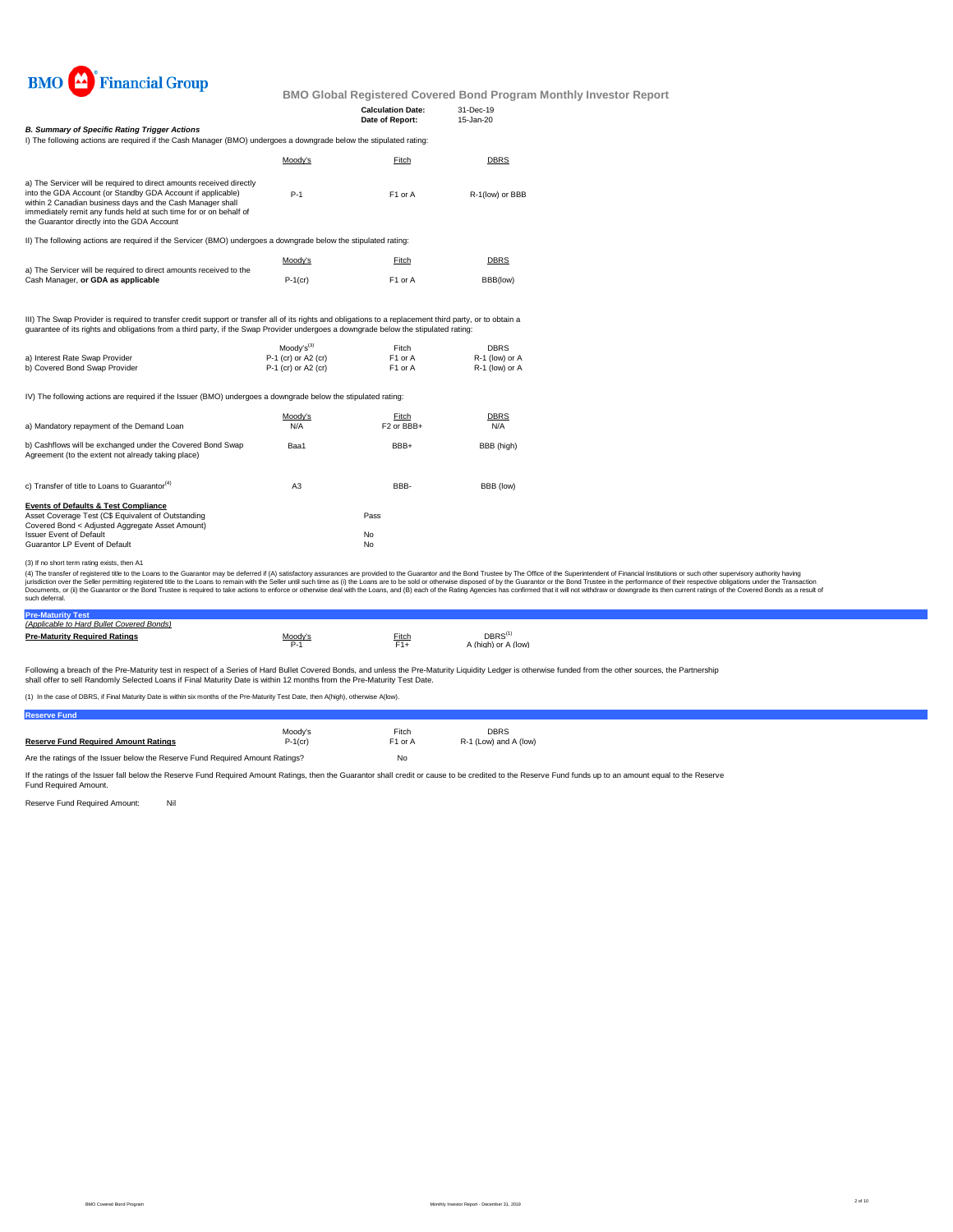

|                                                                                                                                                                                                                                                                                                                       |                                            | <b>Calculation Date:</b><br>Date of Report: | 31-Dec-19<br>15-Jan-20           |  |
|-----------------------------------------------------------------------------------------------------------------------------------------------------------------------------------------------------------------------------------------------------------------------------------------------------------------------|--------------------------------------------|---------------------------------------------|----------------------------------|--|
| <b>B. Summary of Specific Rating Trigger Actions</b><br>I) The following actions are required if the Cash Manager (BMO) undergoes a downgrade below the stipulated rating:                                                                                                                                            |                                            |                                             |                                  |  |
|                                                                                                                                                                                                                                                                                                                       | Moody's                                    | Fitch                                       | DBRS                             |  |
| a) The Servicer will be required to direct amounts received directly<br>into the GDA Account (or Standby GDA Account if applicable)<br>within 2 Canadian business days and the Cash Manager shall<br>immediately remit any funds held at such time for or on behalf of<br>the Guarantor directly into the GDA Account | $P-1$                                      | F1 or A                                     | R-1(low) or BBB                  |  |
| II) The following actions are required if the Servicer (BMO) undergoes a downgrade below the stipulated rating:                                                                                                                                                                                                       |                                            |                                             |                                  |  |
|                                                                                                                                                                                                                                                                                                                       | Moody's                                    | Fitch                                       | DBRS                             |  |
| a) The Servicer will be required to direct amounts received to the<br>Cash Manager, or GDA as applicable                                                                                                                                                                                                              | $P-1$ (cr)                                 | F1 or A                                     | BBB(low)                         |  |
| III) The Swap Provider is required to transfer credit support or transfer all of its rights and obligations to a replacement third party, or to obtain a<br>guarantee of its rights and obligations from a third party, if the Swap Provider undergoes a downgrade below the stipulated rating:                       |                                            |                                             |                                  |  |
|                                                                                                                                                                                                                                                                                                                       | $Modv's^{(3)}$                             | Fitch                                       | <b>DBRS</b>                      |  |
| a) Interest Rate Swap Provider<br>b) Covered Bond Swap Provider                                                                                                                                                                                                                                                       | P-1 (cr) or A2 (cr)<br>P-1 (cr) or A2 (cr) | F1 or A<br>F1 or A                          | R-1 (low) or A<br>R-1 (low) or A |  |
| IV) The following actions are required if the Issuer (BMO) undergoes a downgrade below the stipulated rating:                                                                                                                                                                                                         |                                            |                                             |                                  |  |
| a) Mandatory repayment of the Demand Loan                                                                                                                                                                                                                                                                             | Moody's<br>N/A                             | Fitch<br>F <sub>2</sub> or BBB+             | DBRS<br>N/A                      |  |
| b) Cashflows will be exchanged under the Covered Bond Swap<br>Agreement (to the extent not already taking place)                                                                                                                                                                                                      | Baa1                                       | BBB+                                        | BBB (high)                       |  |
| c) Transfer of title to Loans to Guarantor <sup>(4)</sup>                                                                                                                                                                                                                                                             | A <sub>3</sub>                             | BBB-                                        | BBB (low)                        |  |
| <b>Events of Defaults &amp; Test Compliance</b>                                                                                                                                                                                                                                                                       |                                            |                                             |                                  |  |
| Asset Coverage Test (C\$ Equivalent of Outstanding<br>Covered Bond < Adjusted Aggregate Asset Amount)                                                                                                                                                                                                                 |                                            | Pass                                        |                                  |  |
| <b>Issuer Event of Default</b>                                                                                                                                                                                                                                                                                        |                                            | No                                          |                                  |  |
| Guarantor LP Event of Default                                                                                                                                                                                                                                                                                         |                                            | No                                          |                                  |  |
| $(40.3, 10.4, 10.4, 10.4, 10.4, 10.4, 10.4, 10.4, 10.4, 10.4, 10.4, 10.4, 10.4, 10.4, 10.4, 10.4, 10.4, 10.4, 10.4, 10.4, 10.4, 10.4, 10.4, 10.4, 10.4, 10.4, 10.4, 10.4, 10.4, 10.4, 10.4, 10.4, 10.4, 10.4, 10.4, 10.4, 10.$                                                                                        |                                            |                                             |                                  |  |

(3) If no short term rating exists, then A1

(4) The transfer of registered this Loans to the Guarantor may be deferred if (A) satisfactory assurances are provided to the Guarantor and the Bond Truster by The Office of the Changeton over the Sultains of the fransacti

| D-                                        |         |       |                     |  |
|-------------------------------------------|---------|-------|---------------------|--|
| (Applicable to Hard Bullet Covered Bonds) |         |       |                     |  |
| <b>Pre-Maturity Required Ratings</b>      | Moody's | Fitch | DBRS <sup>(1</sup>  |  |
|                                           | $P-1$   | F1+   | A (high) or A (low) |  |
|                                           |         |       |                     |  |

Following a breach of the Pre-Maturity test in respect of a Series of Hard Bullet Covered Bonds, and unless the Pre-Maturity Liquidity Ledger is otherwise funded from the other sources, the Partnership<br>shall offer to sell

(1) In the case of DBRS, if Final Maturity Date is within six months of the Pre-Maturity Test Date, then A(high), otherwise A(low).

| <b>Reserve Fund</b>                                                           |            |                     |                       |
|-------------------------------------------------------------------------------|------------|---------------------|-----------------------|
|                                                                               | Moodv's    | Fitch               | <b>DBRS</b>           |
| <b>Reserve Fund Required Amount Ratings</b>                                   | $P-1$ (cr) | F <sub>1</sub> or A | R-1 (Low) and A (low) |
| Are the ratings of the Issuer below the Reserve Fund Required Amount Ratings? |            | No                  |                       |

If the ratings of the Issuer fall below the Reserve Fund Required Amount Ratings, then the Guarantor shall credit or cause to be credited to the Reserve Fund funds up to an amount equal to the Reserve<br>Fund Required Amount.

Reserve Fund Required Amount: Nil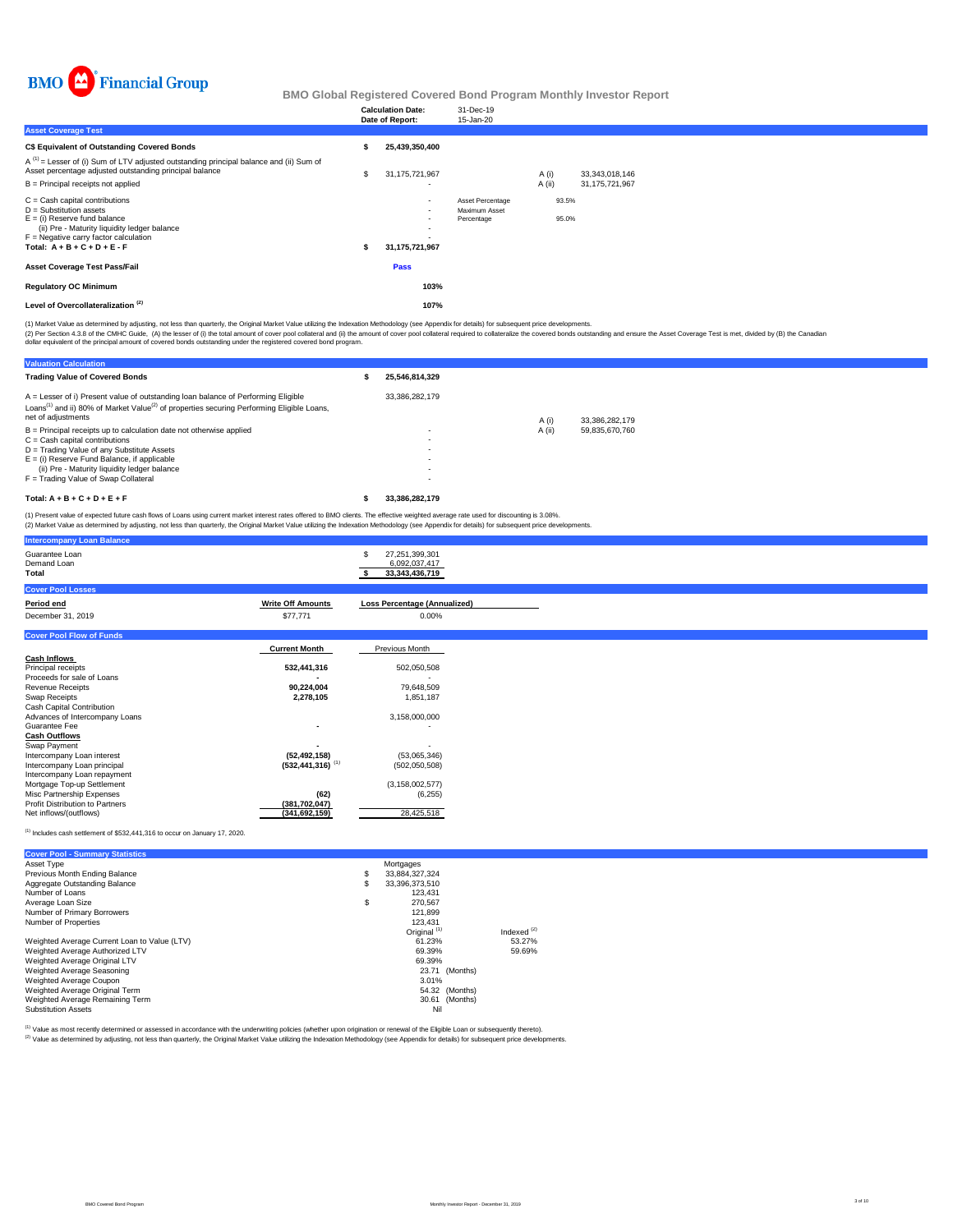

|                                                                                                                                                                                                                              | <b>Calculation Date:</b><br>Date of Report:                                               | 31-Dec-19<br>15-Jan-20                          |                |                |
|------------------------------------------------------------------------------------------------------------------------------------------------------------------------------------------------------------------------------|-------------------------------------------------------------------------------------------|-------------------------------------------------|----------------|----------------|
| <b>Asset Coverage Test</b>                                                                                                                                                                                                   |                                                                                           |                                                 |                |                |
| <b>C\$ Equivalent of Outstanding Covered Bonds</b>                                                                                                                                                                           | 25,439,350,400                                                                            |                                                 |                |                |
| $A^{(1)}$ = Lesser of (i) Sum of LTV adjusted outstanding principal balance and (ii) Sum of<br>Asset percentage adjusted outstanding principal balance                                                                       | 31, 175, 721, 967                                                                         |                                                 | A (i)          | 33,343,018,146 |
| $B =$ Principal receipts not applied                                                                                                                                                                                         |                                                                                           |                                                 | $A$ (ii)       | 31,175,721,967 |
| $C =$ Cash capital contributions<br>$D =$ Substitution assets<br>$E =$ (i) Reserve fund balance<br>(ii) Pre - Maturity liquidity ledger balance<br>$F =$ Negative carry factor calculation<br>Total: $A + B + C + D + E - F$ | $\overline{\phantom{a}}$<br>$\sim$<br>$\overline{\phantom{a}}$<br>٠.<br>31, 175, 721, 967 | Asset Percentage<br>Maximum Asset<br>Percentage | 93.5%<br>95.0% |                |
| <b>Asset Coverage Test Pass/Fail</b>                                                                                                                                                                                         | Pass                                                                                      |                                                 |                |                |
| <b>Regulatory OC Minimum</b>                                                                                                                                                                                                 | 103%                                                                                      |                                                 |                |                |
| Level of Overcollateralization <sup>(2)</sup>                                                                                                                                                                                | 107%                                                                                      |                                                 |                |                |

(1) Market Value as determined by adjusting, not less than quarterly, the Original Market Value utilizing the Indexation Methodology (see Appendix for details) for subsequent price developments.

(2) Per Section 4.3.8 of the CMHC Guide, (A) the lesser of (i) the total amount of cover pool collateral and (i)) the amount of cover pool collateral required to collateralize the covered bonds outstanding and ensure the A

| <b>Valuation Calculation</b>                                                                                                                                                                                                 |                |        |                |  |  |
|------------------------------------------------------------------------------------------------------------------------------------------------------------------------------------------------------------------------------|----------------|--------|----------------|--|--|
| <b>Trading Value of Covered Bonds</b>                                                                                                                                                                                        | 25.546.814.329 |        |                |  |  |
| A = Lesser of i) Present value of outstanding loan balance of Performing Eligible<br>Loans <sup>(1)</sup> and ii) 80% of Market Value <sup>(2)</sup> of properties securing Performing Eligible Loans,<br>net of adjustments | 33.386.282.179 | A (i)  | 33.386.282.179 |  |  |
| $B =$ Principal receipts up to calculation date not otherwise applied<br>$C =$ Cash capital contributions                                                                                                                    | ۰              | A (ii) | 59.835.670.760 |  |  |
| D = Trading Value of any Substitute Assets<br>$E =$ (i) Reserve Fund Balance, if applicable                                                                                                                                  | ۰              |        |                |  |  |
| (ii) Pre - Maturity liquidity ledger balance<br>F = Trading Value of Swap Collateral                                                                                                                                         | ۰              |        |                |  |  |
| Total: $A + B + C + D + E + F$                                                                                                                                                                                               | 33.386.282.179 |        |                |  |  |
| (1) Present value of expected future cash flows of Loans using current market interest rates offered to BMO clients. The effective weighted average rate used for discounting is 3,08%                                       |                |        |                |  |  |

(1) Present value of expected future cash flows of Loans using current market interest rates offered to BMO clients. The effective weighted average rate used for discounting is 3.08%.<br>(2) Market Value as determined by adju

|                          | 27,251,399,301<br>6,092,037,417<br>33, 343, 436, 719                                                           |
|--------------------------|----------------------------------------------------------------------------------------------------------------|
|                          |                                                                                                                |
| <b>Write Off Amounts</b> | <b>Loss Percentage (Annualized)</b>                                                                            |
| \$77,771                 | $0.00\%$                                                                                                       |
|                          |                                                                                                                |
|                          | Previous Month                                                                                                 |
|                          |                                                                                                                |
| 532,441,316              | 502,050,508                                                                                                    |
|                          |                                                                                                                |
|                          | 79,648,509                                                                                                     |
|                          | 1,851,187                                                                                                      |
|                          | 3,158,000,000                                                                                                  |
| $\overline{\phantom{a}}$ | ٠                                                                                                              |
|                          |                                                                                                                |
| ٠                        |                                                                                                                |
| (52, 492, 158)           | (53,065,346)                                                                                                   |
|                          | (502,050,508)                                                                                                  |
|                          |                                                                                                                |
|                          | (3, 158, 002, 577)<br>(6,255)                                                                                  |
|                          |                                                                                                                |
| (341, 692, 159)          | 28,425,518                                                                                                     |
|                          | <b>Current Month</b><br>90,224,004<br>2,278,105<br>$(532, 441, 316)$ <sup>(1)</sup><br>(62)<br>(381, 702, 047) |

 $^{(1)}$  Includes cash settlement of \$532,441,316 to occur on January 17, 2020.

| <b>Cover Pool - Summary Statistics</b>       |    |                         |               |
|----------------------------------------------|----|-------------------------|---------------|
| Asset Type                                   |    | Mortgages               |               |
| Previous Month Ending Balance                | \$ | 33,884,327,324          |               |
| Aggregate Outstanding Balance                | S  | 33.396.373.510          |               |
| Number of Loans                              |    | 123.431                 |               |
| Average Loan Size                            | \$ | 270.567                 |               |
| Number of Primary Borrowers                  |    | 121.899                 |               |
| Number of Properties                         |    | 123.431                 |               |
|                                              |    | Original <sup>(1)</sup> | Indexed $(2)$ |
| Weighted Average Current Loan to Value (LTV) |    | 61.23%                  | 53.27%        |
| Weighted Average Authorized LTV              |    | 69.39%                  | 59.69%        |
| Weighted Average Original LTV                |    | 69.39%                  |               |
| Weighted Average Seasoning                   |    | 23.71 (Months)          |               |
| Weighted Average Coupon                      |    | 3.01%                   |               |
| Weighted Average Original Term               |    | 54.32 (Months)          |               |
| Weighted Average Remaining Term              |    | 30.61 (Months)          |               |
| <b>Substitution Assets</b>                   |    | Nil                     |               |

<sup>(1)</sup> Value as most recently determined or assessed in accordance with the underwriting policies (whether upon origination or renewal of the Eligible Loan or subsequently thereto).<br><sup>(2)</sup> Value as determined by adjusting, n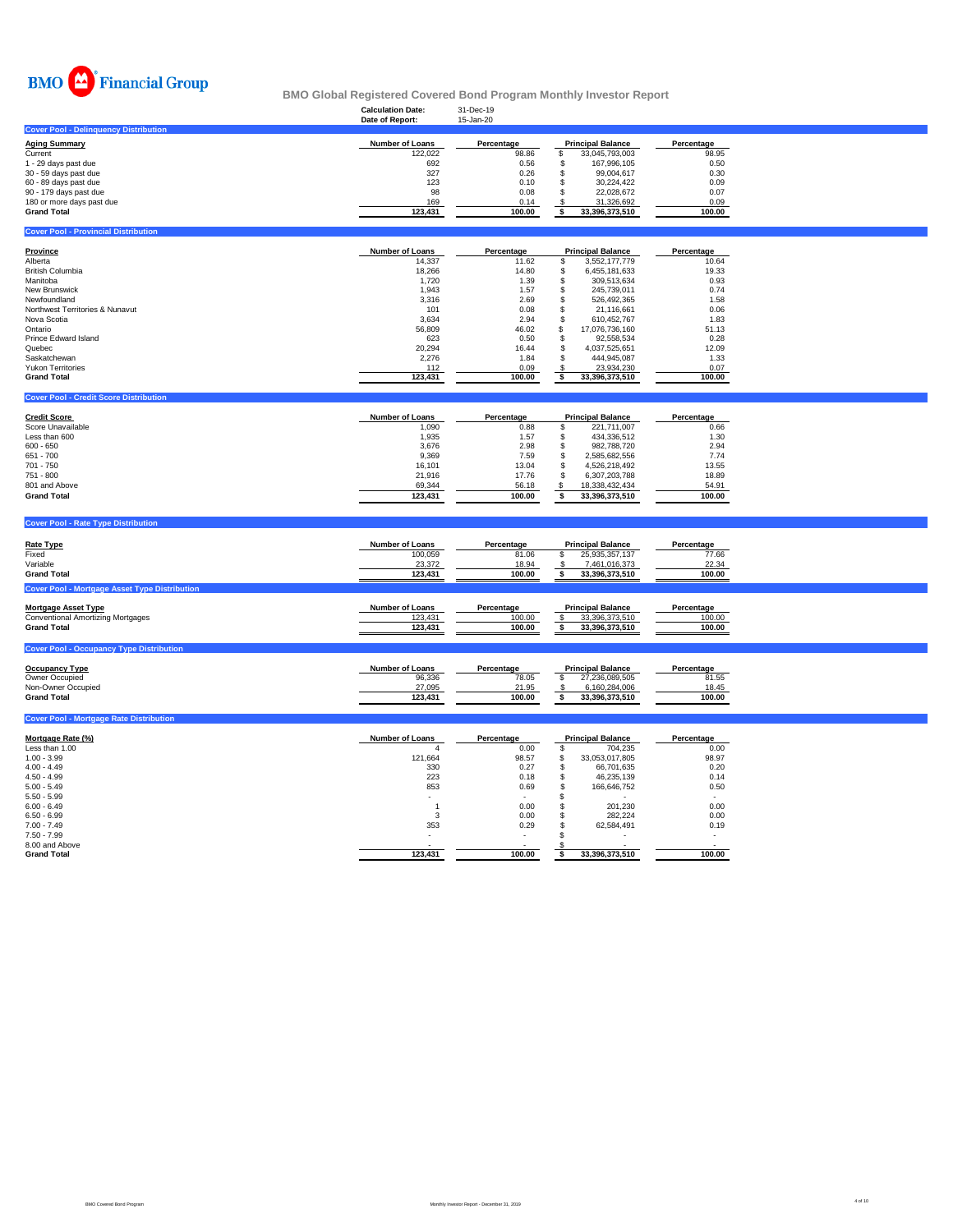

#### **Calculation Date:** 31-Dec-19 **BMO Global Registered Covered Bond Program Monthly Investor Report**

|                                                      | Date of Report:        | 15-Jan-20     |                                         |               |  |
|------------------------------------------------------|------------------------|---------------|-----------------------------------------|---------------|--|
| <b>Cover Pool - Delinquency Distribution</b>         |                        |               |                                         |               |  |
| <b>Aging Summary</b>                                 | Number of Loans        | Percentage    | <b>Principal Balance</b>                | Percentage    |  |
| Current                                              | 122,022                | 98.86         | \$<br>33,045,793,003                    | 98.95         |  |
| 1 - 29 days past due                                 | 692                    | 0.56          | 167,996,105<br>\$                       | 0.50          |  |
| 30 - 59 days past due                                | 327                    | 0.26          | 99,004,617<br>\$                        | 0.30          |  |
| 60 - 89 days past due                                | 123                    | 0.10          | 30,224,422<br>\$                        | 0.09          |  |
| 90 - 179 days past due                               | 98                     | 0.08          | \$<br>22,028,672                        | 0.07          |  |
| 180 or more days past due                            | 169                    | 0.14          | \$<br>31,326,692                        | 0.09          |  |
| <b>Grand Total</b>                                   | 123,431                | 100.00        | 33,396,373,510<br>\$                    | 100.00        |  |
|                                                      |                        |               |                                         |               |  |
| <b>Cover Pool - Provincial Distribution</b>          |                        |               |                                         |               |  |
|                                                      |                        |               |                                         |               |  |
| <b>Province</b>                                      | Number of Loans        | Percentage    | <b>Principal Balance</b>                | Percentage    |  |
| Alberta                                              | 14,337                 | 11.62         | 3,552,177,779<br>\$                     | 10.64         |  |
| <b>British Columbia</b>                              | 18,266                 | 14.80         | \$<br>6,455,181,633                     | 19.33         |  |
| Manitoba                                             | 1,720                  | 1.39          | \$<br>309,513,634                       | 0.93          |  |
| New Brunswick                                        | 1,943                  | 1.57          | \$<br>245,739,011                       | 0.74          |  |
| Newfoundland                                         | 3,316                  | 2.69          | \$<br>526,492,365                       | 1.58          |  |
| Northwest Territories & Nunavut                      | 101                    | 0.08          | \$<br>21,116,661                        | 0.06          |  |
| Nova Scotia                                          | 3,634                  | 2.94          | \$<br>610,452,767                       | 1.83          |  |
| Ontario                                              | 56,809                 | 46.02         | \$<br>17,076,736,160                    | 51.13         |  |
| Prince Edward Island                                 |                        |               |                                         |               |  |
| Quebec                                               | 623                    | 0.50<br>16.44 | \$<br>92,558,534<br>$\mathbb{S}$        | 0.28<br>12.09 |  |
|                                                      | 20,294                 |               | 4,037,525,651                           |               |  |
| Saskatchewan                                         | 2,276                  | 1.84          | $\mathfrak s$<br>444,945,087            | 1.33          |  |
| <b>Yukon Territories</b>                             | 112                    | 0.09          | $\boldsymbol{\mathsf{s}}$<br>23,934,230 | 0.07          |  |
| <b>Grand Total</b>                                   | 123,431                | 100.00        | 33,396,373,510<br>\$                    | 100.00        |  |
|                                                      |                        |               |                                         |               |  |
| <b>Cover Pool - Credit Score Distribution</b>        |                        |               |                                         |               |  |
| <b>Credit Score</b>                                  | <b>Number of Loans</b> | Percentage    | <b>Principal Balance</b>                | Percentage    |  |
| Score Unavailable                                    | 1,090                  | 0.88          | 221,711,007<br>S                        | 0.66          |  |
| Less than 600                                        | 1,935                  | 1.57          | \$<br>434,336,512                       | 1.30          |  |
| $600 - 650$                                          | 3,676                  | 2.98          | \$<br>982,788,720                       | 2.94          |  |
| 651 - 700                                            |                        |               | 2,585,682,556                           | 7.74          |  |
| 701 - 750                                            | 9,369                  | 7.59          | \$                                      |               |  |
|                                                      | 16,101                 | 13.04         | \$<br>4,526,218,492                     | 13.55         |  |
| 751 - 800                                            | 21,916                 | 17.76         | \$<br>6,307,203,788                     | 18.89         |  |
| 801 and Above                                        | 69,344                 | 56.18         | \$<br>18,338,432,434                    | 54.91         |  |
| <b>Grand Total</b>                                   | 123,431                | 100.00        | \$<br>33,396,373,510                    | 100.00        |  |
|                                                      |                        |               |                                         |               |  |
| <b>Cover Pool - Rate Type Distribution</b>           |                        |               |                                         |               |  |
|                                                      |                        |               |                                         |               |  |
| <b>Rate Type</b>                                     | <b>Number of Loans</b> | Percentage    | <b>Principal Balance</b>                | Percentage    |  |
| Fixed                                                | 100,059                | 81.06         | \$<br>25,935,357,137                    | 77.66         |  |
| Variable                                             | 23,372                 | 18.94         | 7,461,016,373<br>-S                     | 22.34         |  |
| <b>Grand Total</b>                                   | 123,431                | 100.00        | \$<br>33,396,373,510                    | 100.00        |  |
| <b>Cover Pool - Mortgage Asset Type Distribution</b> |                        |               |                                         |               |  |
|                                                      |                        |               |                                         |               |  |
| <b>Mortgage Asset Type</b>                           | Number of Loans        | Percentage    | <b>Principal Balance</b>                | Percentage    |  |
| <b>Conventional Amortizing Mortgages</b>             | 123,431                | 100.00        | \$<br>33,396,373,510                    | 100.00        |  |
| <b>Grand Total</b>                                   | 123,431                | 100.00        | \$<br>33,396,373,510                    | 100.00        |  |
|                                                      |                        |               |                                         |               |  |
| <b>Cover Pool - Occupancy Type Distribution</b>      |                        |               |                                         |               |  |
|                                                      | Number of Loans        | Percentage    |                                         |               |  |
| <b>Occupancy Type</b>                                |                        | 78.05         | <b>Principal Balance</b><br>\$          | Percentage    |  |
| Owner Occupied                                       | 96,336                 |               | 27,236,089,505                          | 81.55         |  |
| Non-Owner Occupied                                   | 27,095                 | 21.95         | 6,160,284,006<br>-S                     | 18.45         |  |
| <b>Grand Total</b>                                   | 123,431                | 100.00        | \$<br>33,396,373,510                    | 100.00        |  |
| <b>Cover Pool - Mortgage Rate Distribution</b>       |                        |               |                                         |               |  |
|                                                      |                        |               |                                         |               |  |
| Mortgage Rate (%)                                    | Number of Loans        | Percentage    | <b>Principal Balance</b>                | Percentage    |  |
| Less than 1.00                                       | $\overline{4}$         | 0.00          | \$<br>704,235                           | 0.00          |  |
| $1.00 - 3.99$                                        | 121,664                | 98.57         | 33,053,017,805<br>\$                    | 98.97         |  |
| $4.00 - 4.49$                                        | 330                    | 0.27          | 66,701,635<br>\$                        | 0.20          |  |
| $4.50 - 4.99$                                        | 223                    | 0.18          | \$<br>46,235,139                        | 0.14          |  |
| $5.00 - 5.49$                                        | 853                    | 0.69          | \$<br>166,646,752                       | 0.50          |  |
| $5.50 - 5.99$                                        |                        |               | \$                                      |               |  |
| $6.00 - 6.49$                                        | $\overline{1}$         | 0.00          | \$<br>201,230                           | 0.00          |  |
| $6.50 - 6.99$                                        | 3                      | 0.00          | \$<br>282,224                           | 0.00          |  |
| $7.00 - 7.49$                                        | 353                    | 0.29          | \$<br>62,584,491                        | 0.19          |  |
| $7.50 - 7.99$                                        |                        |               | $\mathbf{s}$                            |               |  |
| 8.00 and Above                                       |                        |               |                                         |               |  |
| <b>Grand Total</b>                                   | 123.431                | 100.00        | 33.396.373.510<br>\$                    | 100.00        |  |
|                                                      |                        |               |                                         |               |  |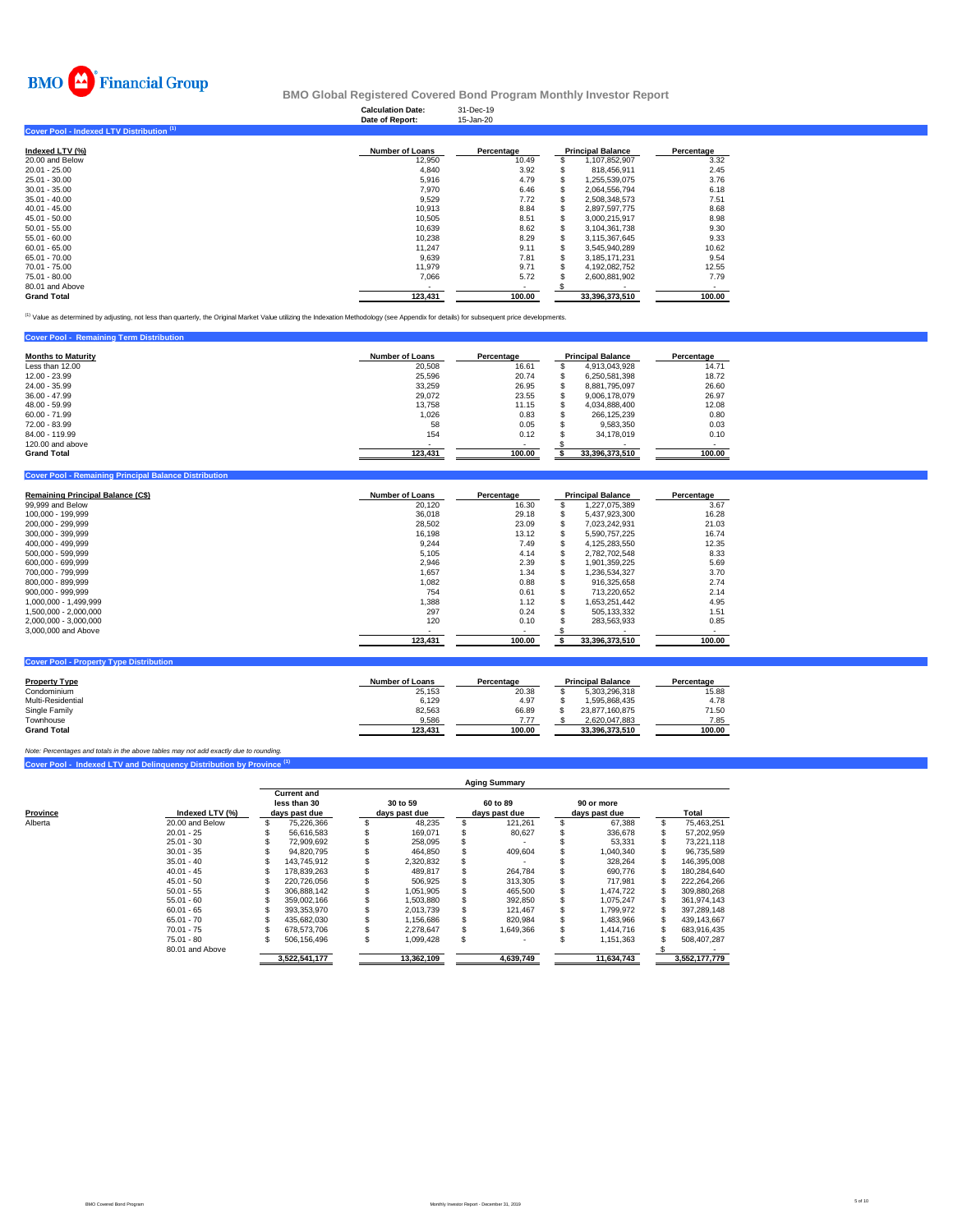

|                                           | <b>Calculation Date:</b><br>Date of Report: | 31-Dec-19<br>15-Jan-20 |                          |            |
|-------------------------------------------|---------------------------------------------|------------------------|--------------------------|------------|
| Cover Pool - Indexed LTV Distribution (1) |                                             |                        |                          |            |
| Indexed LTV (%)                           | <b>Number of Loans</b>                      | Percentage             | <b>Principal Balance</b> | Percentage |
| 20.00 and Below                           | 12,950                                      | 10.49                  | 1,107,852,907            | 3.32       |
| 20.01 - 25.00                             | 4,840                                       | 3.92                   | 818,456,911              | 2.45       |
| 25.01 - 30.00                             | 5,916                                       | 4.79                   | 1,255,539,075            | 3.76       |
| 30.01 - 35.00                             | 7,970                                       | 6.46                   | 2,064,556,794            | 6.18       |
| 35.01 - 40.00                             | 9,529                                       | 7.72                   | 2,508,348,573            | 7.51       |
| 40.01 - 45.00                             | 10,913                                      | 8.84                   | 2,897,597,775            | 8.68       |
| 45.01 - 50.00                             | 10,505                                      | 8.51                   | 3,000,215,917            | 8.98       |
| 50.01 - 55.00                             | 10,639                                      | 8.62                   | 3,104,361,738            | 9.30       |
| 55.01 - 60.00                             | 10,238                                      | 8.29                   | 3,115,367,645            | 9.33       |
| 60.01 - 65.00                             | 11.247                                      | 9.11                   | 3,545,940,289            | 10.62      |
| 65.01 - 70.00                             | 9,639                                       | 7.81                   | 3,185,171,231            | 9.54       |
| 70.01 - 75.00                             | 11,979                                      | 9.71                   | 4,192,082,752            | 12.55      |
| 75.01 - 80.00                             | 7,066                                       | 5.72                   | 2,600,881,902            | 7.79       |
| 80.01 and Above                           | $\overline{\phantom{a}}$                    | $\blacksquare$         |                          |            |
| <b>Grand Total</b>                        | 123.431                                     | 100.00                 | 33,396,373,510           | 100.00     |

<sup>(1)</sup> Value as determined by adjusting, not less than quarterly, the Original Market Value utilizing the Indexation Methodology (see Appendix for details) for subsequent price developments.

| <b>Cover Pool - Remaining Term Distribution</b> |                        |            |                          |            |  |  |
|-------------------------------------------------|------------------------|------------|--------------------------|------------|--|--|
| <b>Months to Maturity</b>                       | <b>Number of Loans</b> | Percentage | <b>Principal Balance</b> | Percentage |  |  |
| Less than 12.00                                 | 20,508                 | 16.61      | 4,913,043,928            | 14.71      |  |  |
| 12.00 - 23.99                                   | 25.596                 | 20.74      | 6.250.581.398            | 18.72      |  |  |
| 24.00 - 35.99                                   | 33.259                 | 26.95      | 8.881.795.097            | 26.60      |  |  |
| $36.00 - 47.99$                                 | 29.072                 | 23.55      | 9.006.178.079            | 26.97      |  |  |
| 48.00 - 59.99                                   | 13.758                 | 11.15      | 4.034.888.400            | 12.08      |  |  |
| $60.00 - 71.99$                                 | 1.026                  | 0.83       | 266.125.239              | 0.80       |  |  |
| 72.00 - 83.99                                   | 58                     | 0.05       | 9.583.350                | 0.03       |  |  |
| 84.00 - 119.99                                  | 154                    | 0.12       | 34.178.019               | 0.10       |  |  |
| 120,00 and above                                |                        |            |                          |            |  |  |
| <b>Grand Total</b>                              | 123,431                | 100.00     | 33,396,373,510           | 100.00     |  |  |

| <b>Cover Pool - Remaining Principal Balance Distribution</b> |                        |                          |                          |            |
|--------------------------------------------------------------|------------------------|--------------------------|--------------------------|------------|
| Remaining Principal Balance (C\$)                            | <b>Number of Loans</b> | Percentage               | <b>Principal Balance</b> | Percentage |
| 99,999 and Below                                             | 20.120                 | 16.30                    | 1,227,075,389            | 3.67       |
| 100.000 - 199.999                                            | 36,018                 | 29.18                    | 5,437,923,300            | 16.28      |
| 200,000 - 299,999                                            | 28,502                 | 23.09                    | 7,023,242,931            | 21.03      |
| 300,000 - 399,999                                            | 16,198                 | 13.12                    | 5,590,757,225            | 16.74      |
| 400.000 - 499.999                                            | 9,244                  | 7.49                     | 4,125,283,550            | 12.35      |
| 500.000 - 599.999                                            | 5,105                  | 4.14                     | 2,782,702,548            | 8.33       |
| 600.000 - 699.999                                            | 2,946                  | 2.39                     | 1,901,359,225            | 5.69       |
| 700.000 - 799.999                                            | 1.657                  | 1.34                     | 1,236,534,327            | 3.70       |
| 800,000 - 899,999                                            | 1,082                  | 0.88                     | 916,325,658              | 2.74       |
| 900,000 - 999,999                                            | 754                    | 0.61                     | 713,220,652              | 2.14       |
| 1,000,000 - 1,499,999                                        | 1.388                  | 1.12                     | 1,653,251,442            | 4.95       |
| 1,500,000 - 2,000,000                                        | 297                    | 0.24                     | 505,133,332              | 1.51       |
| 2,000,000 - 3,000,000                                        | 120                    | 0.10                     | 283,563,933              | 0.85       |
| 3,000,000 and Above                                          |                        | $\overline{\phantom{a}}$ |                          |            |
|                                                              | 123,431                | 100.00                   | 33,396,373,510           | 100.00     |
|                                                              |                        |                          |                          |            |
| <b>Cover Pool - Property Type Distribution</b>               |                        |                          |                          |            |

| <b>Property Type</b> | <b>Number of Loans</b> | Percentage | <b>Principal Balance</b> | Percentage |
|----------------------|------------------------|------------|--------------------------|------------|
| Condominium          | 25.153                 | 20.38      | 5.303.296.318            | 15.88      |
| Multi-Residential    | 6.129                  | 4.97       | 1.595.868.435            | 4.78       |
| Single Family        | 82.563                 | 66.89      | 23.877.160.875           | 71.50      |
| Townhouse            | 9.586                  | 7.77       | 2.620.047.883            | 7.85       |
| <b>Grand Total</b>   | 123.431                | 100.00     | 33.396.373.510           | 100.00     |

**Cover Pool - Indexed LTV and Delinquency Distribution by Province (1)** *Note: Percentages and totals in the above tables may not add exactly due to rounding.*

|          |                 |                                                     | <b>Aging Summary</b> |                           |            |  |                           |  |                             |  |               |  |  |  |  |
|----------|-----------------|-----------------------------------------------------|----------------------|---------------------------|------------|--|---------------------------|--|-----------------------------|--|---------------|--|--|--|--|
| Province | Indexed LTV (%) | <b>Current and</b><br>less than 30<br>days past due |                      | 30 to 59<br>davs past due |            |  | 60 to 89<br>days past due |  | 90 or more<br>days past due |  | Total         |  |  |  |  |
| Alberta  | 20.00 and Below |                                                     | 75,226,366           |                           | 48,235     |  | 121.261                   |  | 67.388                      |  | 75,463,251    |  |  |  |  |
|          | $20.01 - 25$    |                                                     | 56.616.583           |                           | 169.071    |  | 80.627                    |  | 336.678                     |  | 57,202,959    |  |  |  |  |
|          | $25.01 - 30$    |                                                     | 72.909.692           |                           | 258.095    |  |                           |  | 53.331                      |  | 73.221.118    |  |  |  |  |
|          | $30.01 - 35$    |                                                     | 94.820.795           |                           | 464.850    |  | 409.604                   |  | 1.040.340                   |  | 96.735.589    |  |  |  |  |
|          | $35.01 - 40$    |                                                     | 143.745.912          |                           | 2,320,832  |  |                           |  | 328.264                     |  | 146.395.008   |  |  |  |  |
|          | $40.01 - 45$    |                                                     | 178.839.263          |                           | 489.817    |  | 264.784                   |  | 690.776                     |  | 180.284.640   |  |  |  |  |
|          | $45.01 - 50$    |                                                     | 220.726.056          |                           | 506.925    |  | 313,305                   |  | 717.981                     |  | 222.264.266   |  |  |  |  |
|          | $50.01 - 55$    |                                                     | 306.888.142          |                           | 1.051.905  |  | 465,500                   |  | 1.474.722                   |  | 309.880.268   |  |  |  |  |
|          | $55.01 - 60$    |                                                     | 359.002.166          |                           | 1.503.880  |  | 392.850                   |  | 1.075.247                   |  | 361.974.143   |  |  |  |  |
|          | $60.01 - 65$    |                                                     | 393.353.970          |                           | 2.013.739  |  | 121.467                   |  | 1.799.972                   |  | 397.289.148   |  |  |  |  |
|          | $65.01 - 70$    |                                                     | 435.682.030          |                           | 1.156.686  |  | 820.984                   |  | 1.483.966                   |  | 439.143.667   |  |  |  |  |
|          | $70.01 - 75$    |                                                     | 678.573.706          |                           | 2.278.647  |  | 1,649,366                 |  | 1.414.716                   |  | 683.916.435   |  |  |  |  |
|          | $75.01 - 80$    |                                                     | 506.156.496          |                           | 1.099.428  |  |                           |  | 1.151.363                   |  | 508.407.287   |  |  |  |  |
|          | 80.01 and Above |                                                     |                      |                           |            |  |                           |  |                             |  |               |  |  |  |  |
|          |                 |                                                     | 3.522.541.177        |                           | 13,362,109 |  | 4,639,749                 |  | 11.634.743                  |  | 3.552.177.779 |  |  |  |  |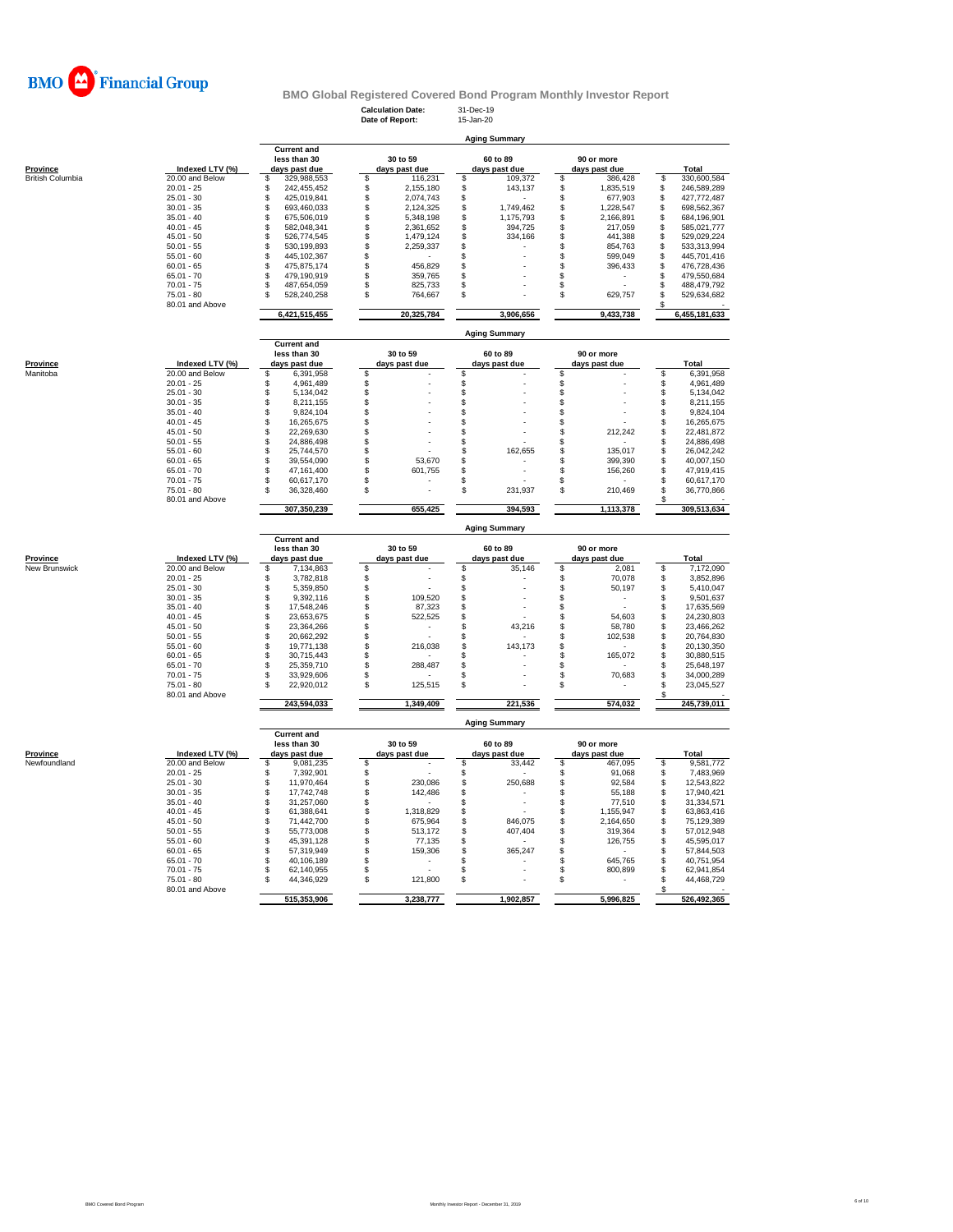

# **Calculation Date:** 31-Dec-19 **Date of Report:** 15-Jan-20 **BMO Global Registered Covered Bond Program Monthly Investor Report**

|                  |                               | <b>Aging Summary</b>                 |                                |                                |                                |                                      |  |  |  |  |  |  |  |
|------------------|-------------------------------|--------------------------------------|--------------------------------|--------------------------------|--------------------------------|--------------------------------------|--|--|--|--|--|--|--|
|                  |                               | <b>Current and</b>                   |                                |                                |                                |                                      |  |  |  |  |  |  |  |
| Province         | Indexed LTV (%)               | less than 30<br>days past due        | 30 to 59                       | 60 to 89                       | 90 or more                     | Total                                |  |  |  |  |  |  |  |
| British Columbia | 20.00 and Below               | 329,988,553<br>S                     | days past due<br>\$<br>116,231 | days past due<br>109,372<br>\$ | days past due<br>\$<br>386,428 | 330,600,584<br>\$                    |  |  |  |  |  |  |  |
|                  | $20.01 - 25$                  | 242,455,452<br>\$                    | 2,155,180<br>\$                | 143,137<br>\$                  | \$<br>1,835,519                | 246,589,289<br>\$                    |  |  |  |  |  |  |  |
|                  | $25.01 - 30$                  | 425,019,841<br>\$                    | \$<br>2,074,743                | \$                             | \$<br>677,903                  | 427,772,487<br>\$                    |  |  |  |  |  |  |  |
|                  | $30.01 - 35$                  | \$<br>693,460,033                    | \$<br>2,124,325                | 1,749,462<br>\$                | \$<br>1,228,547                | 698,562,367<br>S                     |  |  |  |  |  |  |  |
|                  | $35.01 - 40$                  | \$<br>675,506,019                    | \$<br>5,348,198                | \$<br>1,175,793                | \$<br>2,166,891                | \$<br>684,196,901                    |  |  |  |  |  |  |  |
|                  | $40.01 - 45$                  | \$<br>582,048,341                    | $\ddot{\$}$<br>2,361,652       | \$<br>394,725                  | \$<br>217,059                  | 585,021,777<br>S                     |  |  |  |  |  |  |  |
|                  | $45.01 - 50$                  | \$<br>526,774,545                    | \$<br>1,479,124                | \$<br>334,166                  | \$<br>441,388                  | S<br>529,029,224                     |  |  |  |  |  |  |  |
|                  | $50.01 - 55$                  | \$<br>530,199,893                    | \$<br>2,259,337                | \$                             | 854,763<br>\$                  | S<br>533,313,994                     |  |  |  |  |  |  |  |
|                  | $55.01 - 60$                  | \$<br>445,102,367                    | \$                             | \$                             | 599,049<br>\$                  | \$<br>445,701,416                    |  |  |  |  |  |  |  |
|                  | $60.01 - 65$                  | \$<br>475,875,174                    | \$<br>456,829                  | \$                             | \$<br>396,433                  | 476,728,436<br>S                     |  |  |  |  |  |  |  |
|                  | $65.01 - 70$                  | 479,190,919<br>\$                    | \$<br>359,765                  | \$                             | \$                             | 479,550,684<br>S                     |  |  |  |  |  |  |  |
|                  | $70.01 - 75$                  | \$<br>487,654,059                    | \$<br>825,733                  | \$                             | \$                             | \$<br>488,479,792                    |  |  |  |  |  |  |  |
|                  | 75.01 - 80                    | 528,240,258<br>\$                    | \$<br>764,667                  | \$                             | \$<br>629,757                  | \$<br>529,634,682                    |  |  |  |  |  |  |  |
|                  | 80.01 and Above               |                                      |                                |                                |                                | \$                                   |  |  |  |  |  |  |  |
|                  |                               | 6,421,515,455                        | 20,325,784                     | 3,906,656                      | 9,433,738                      | 6,455,181,633                        |  |  |  |  |  |  |  |
|                  |                               |                                      |                                | <b>Aging Summary</b>           |                                |                                      |  |  |  |  |  |  |  |
|                  |                               | <b>Current and</b>                   |                                |                                |                                |                                      |  |  |  |  |  |  |  |
|                  |                               | less than 30                         | 30 to 59                       | 60 to 89                       | 90 or more                     |                                      |  |  |  |  |  |  |  |
| Province         | Indexed LTV (%)               | days past due                        | days past due                  | days past due                  | days past due                  | Total                                |  |  |  |  |  |  |  |
| Manitoba         | 20.00 and Below               | \$<br>6,391,958                      | \$                             | \$                             | \$                             | 6,391,958<br>S                       |  |  |  |  |  |  |  |
|                  | $20.01 - 25$                  | 4,961,489<br>\$                      | \$                             | $\,$                           | \$                             | \$<br>4,961,489                      |  |  |  |  |  |  |  |
|                  | $25.01 - 30$                  | S<br>5,134,042                       | \$                             | \$                             | \$                             | \$<br>5,134,042                      |  |  |  |  |  |  |  |
|                  | $30.01 - 35$                  | 8,211,155<br>\$                      | \$                             | \$                             | \$                             | \$<br>8,211,155                      |  |  |  |  |  |  |  |
|                  | $35.01 - 40$                  | \$<br>9,824,104                      | \$                             | \$                             | \$                             | \$<br>9,824,104                      |  |  |  |  |  |  |  |
|                  | $40.01 - 45$                  | \$<br>16,265,675                     | \$                             | \$                             | \$                             | \$<br>16,265,675                     |  |  |  |  |  |  |  |
|                  | $45.01 - 50$                  | \$<br>22,269,630                     | \$                             | \$                             | \$<br>212,242                  | \$<br>22,481,872                     |  |  |  |  |  |  |  |
|                  | $50.01 - 55$                  | 24,886,498<br>\$                     | \$                             | \$                             | \$                             | \$<br>24,886,498                     |  |  |  |  |  |  |  |
|                  | $55.01 - 60$                  | \$<br>25,744,570                     | \$                             | \$<br>162,655                  | 135,017<br>\$                  | \$<br>26,042,242                     |  |  |  |  |  |  |  |
|                  | $60.01 - 65$                  | S<br>39,554,090                      | \$<br>53,670                   | \$                             | \$<br>399,390                  | \$<br>40,007,150                     |  |  |  |  |  |  |  |
|                  | $65.01 - 70$                  | 47,161,400<br>\$                     | \$<br>601,755                  | \$                             | \$<br>156,260                  | \$<br>47,919,415                     |  |  |  |  |  |  |  |
|                  | $70.01 - 75$                  | \$<br>60,617,170                     | \$                             | \$                             | \$                             | \$<br>60,617,170                     |  |  |  |  |  |  |  |
|                  | $75.01 - 80$                  | \$<br>36,328,460                     | \$<br>÷.                       | \$<br>231,937                  | \$<br>210,469                  | \$<br>36,770,866                     |  |  |  |  |  |  |  |
|                  | 80.01 and Above               |                                      |                                |                                |                                |                                      |  |  |  |  |  |  |  |
|                  |                               | 307,350,239                          | 655,425                        | 394,593                        | 1,113,378                      | 309,513,634                          |  |  |  |  |  |  |  |
|                  |                               |                                      |                                | <b>Aging Summary</b>           |                                |                                      |  |  |  |  |  |  |  |
|                  |                               |                                      |                                |                                |                                |                                      |  |  |  |  |  |  |  |
|                  |                               | <b>Current and</b><br>less than 30   | 30 to 59                       | 60 to 89                       | 90 or more                     |                                      |  |  |  |  |  |  |  |
| Province         | Indexed LTV (%)               | days past due                        | days past due                  | days past due                  | days past due                  | Total                                |  |  |  |  |  |  |  |
| New Brunswick    | 20.00 and Below               | 7,134,863<br>S                       | S                              | \$<br>35,146                   | \$<br>2,081                    | 7,172,090<br>S                       |  |  |  |  |  |  |  |
|                  | $20.01 - 25$                  | \$<br>3,782,818                      | \$                             | \$                             | \$<br>70,078                   | 3,852,896<br>\$                      |  |  |  |  |  |  |  |
|                  | $25.01 - 30$                  | S<br>5,359,850                       |                                |                                | \$                             | 5,410,047<br>\$                      |  |  |  |  |  |  |  |
|                  | $30.01 - 35$                  | \$<br>9,392,116                      | \$<br>109,520                  | \$<br>\$                       | 50,197<br>\$                   | 9,501,637<br>\$                      |  |  |  |  |  |  |  |
|                  | $35.01 - 40$                  | \$<br>17,548,246                     | \$<br>\$<br>87,323             | \$                             | \$                             | \$<br>17,635,569                     |  |  |  |  |  |  |  |
|                  | $40.01 - 45$                  | \$<br>23,653,675                     | 522,525                        |                                | 54,603                         | 24,230,803                           |  |  |  |  |  |  |  |
|                  | $45.01 - 50$                  | S<br>23,364,266                      | \$<br>\$<br>$\blacksquare$     | \$<br>$\mathbb S$<br>43,216    | \$<br>\$<br>58,780             | \$<br>\$<br>23,466,262               |  |  |  |  |  |  |  |
|                  | $50.01 - 55$                  | \$<br>20,662,292                     | \$                             | \$                             | \$<br>102,538                  | \$                                   |  |  |  |  |  |  |  |
|                  |                               |                                      |                                |                                |                                | 20,764,830                           |  |  |  |  |  |  |  |
|                  | $55.01 - 60$                  | \$<br>19,771,138<br>S                | \$<br>216,038                  | \$<br>143,173                  | \$                             | \$<br>20,130,350                     |  |  |  |  |  |  |  |
|                  | $60.01 - 65$                  | 30,715,443                           | \$                             | \$                             | \$<br>165,072                  | \$<br>30,880,515                     |  |  |  |  |  |  |  |
|                  | $65.01 - 70$                  | 25,359,710<br>\$                     | \$<br>288,487                  | \$                             | \$                             | \$<br>25,648,197                     |  |  |  |  |  |  |  |
|                  | $70.01 - 75$<br>75.01 - 80    | \$<br>33,929,606<br>\$<br>22,920,012 | \$<br>\$<br>125,515            | \$<br>\$                       | \$<br>70,683<br>\$             | \$<br>34,000,289<br>\$<br>23,045,527 |  |  |  |  |  |  |  |
|                  | 80.01 and Above               |                                      |                                |                                |                                | S                                    |  |  |  |  |  |  |  |
|                  |                               | 243,594,033                          | 1,349,409                      | 221,536                        | 574,032                        | 245,739,011                          |  |  |  |  |  |  |  |
|                  |                               |                                      |                                | <b>Aging Summary</b>           |                                |                                      |  |  |  |  |  |  |  |
|                  |                               | <b>Current and</b><br>less than 30   | 30 to 59                       | 60 to 89                       | 90 or more                     |                                      |  |  |  |  |  |  |  |
| Province         | Indexed LTV (%)               | days past due                        | days past due                  | days past due                  | days past due                  | <b>Total</b>                         |  |  |  |  |  |  |  |
| Newfoundland     | 20.00 and Below               | \$<br>9,081,235                      | \$                             | \$<br>33,442                   | \$<br>467,095                  | 9,581,772<br>\$                      |  |  |  |  |  |  |  |
|                  | $20.01 - 25$                  | \$<br>7,392,901                      | \$                             | \$                             | 91,068<br>\$                   | \$<br>7,483,969                      |  |  |  |  |  |  |  |
|                  | $25.01 - 30$                  | \$<br>11,970,464                     | 230,086                        | 250,688                        | \$<br>92,584                   | \$<br>12,543,822                     |  |  |  |  |  |  |  |
|                  | $30.01 - 35$                  | \$<br>17,742,748                     | \$<br>\$<br>142,486            | $\,$<br>\$                     | \$<br>55,188                   | \$<br>17,940,421                     |  |  |  |  |  |  |  |
|                  |                               |                                      |                                | $\overline{a}$                 |                                |                                      |  |  |  |  |  |  |  |
|                  | $35.01 - 40$                  | \$<br>31,257,060                     | \$                             | \$                             | \$<br>77,510                   | \$<br>31,334,571                     |  |  |  |  |  |  |  |
|                  | $40.01 - 45$                  | \$<br>61,388,641                     | \$<br>1,318,829                | \$                             | 1,155,947<br>\$                | \$<br>63,863,416                     |  |  |  |  |  |  |  |
|                  | $45.01 - 50$                  | \$<br>71,442,700                     | \$<br>675,964                  | \$<br>846,075                  | \$<br>2,164,650                | \$<br>75,129,389                     |  |  |  |  |  |  |  |
|                  | $50.01 - 55$                  | \$<br>55,773,008                     | \$<br>513,172                  | \$<br>407,404                  | \$<br>319,364                  | \$<br>57,012,948                     |  |  |  |  |  |  |  |
|                  | $55.01 - 60$                  | \$<br>45,391,128                     | \$<br>77,135                   | \$                             | \$<br>126,755                  | \$<br>45,595,017                     |  |  |  |  |  |  |  |
|                  | $60.01 - 65$                  | \$<br>57,319,949                     | S<br>159,306                   | \$<br>365,247                  | S                              | \$<br>57,844,503                     |  |  |  |  |  |  |  |
|                  | $65.01 - 70$                  | 40,106,189<br>\$                     | \$                             | \$                             | 645,765<br>\$                  | \$<br>40,751,954                     |  |  |  |  |  |  |  |
|                  | $70.01 - 75$                  | \$<br>62,140,955                     | \$                             | \$                             | \$<br>800,899                  | \$<br>62,941,854                     |  |  |  |  |  |  |  |
|                  | 75.01 - 80<br>80.01 and Above | \$<br>44,346,929                     | \$<br>121,800                  | \$                             | \$                             | \$<br>44,468,729                     |  |  |  |  |  |  |  |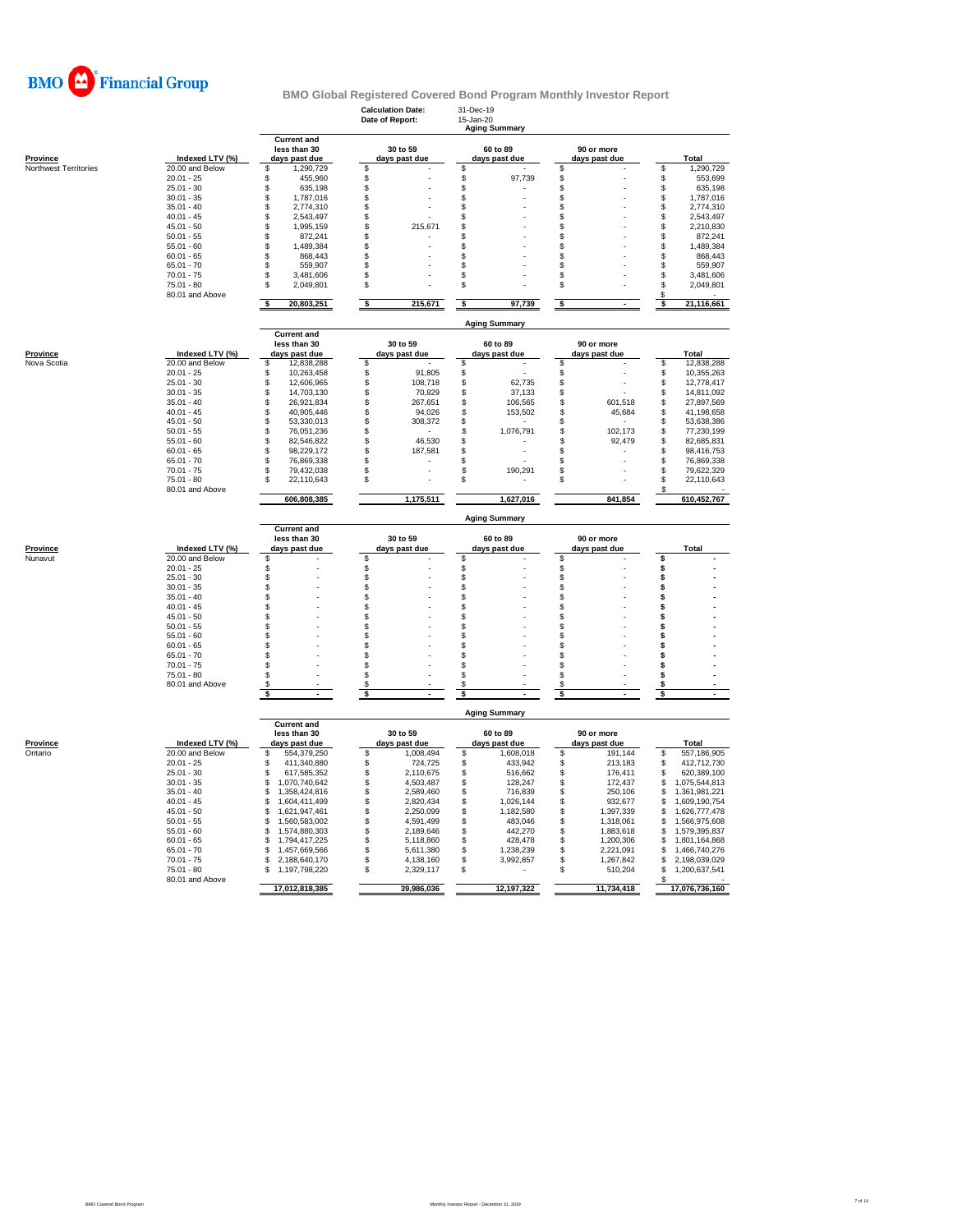

|                       |                                    |                                                     | <b>Calculation Date:</b><br>Date of Report: | 31-Dec-19<br>15-Jan-20<br><b>Aging Summary</b> |                                |                                        |
|-----------------------|------------------------------------|-----------------------------------------------------|---------------------------------------------|------------------------------------------------|--------------------------------|----------------------------------------|
| <b>Province</b>       | Indexed LTV (%)                    | <b>Current and</b><br>less than 30<br>days past due | 30 to 59<br>days past due                   | 60 to 89<br>days past due                      | 90 or more<br>days past due    | Total                                  |
| Northwest Territories | 20.00 and Below                    | S<br>1,290,729                                      | S                                           | \$                                             | \$                             | 1,290,729<br>\$                        |
|                       | $20.01 - 25$                       | \$<br>455,960                                       | \$                                          | \$<br>97,739                                   | \$                             | \$<br>553,699                          |
|                       | $25.01 - 30$<br>$30.01 - 35$       | \$<br>635,198<br>\$<br>1,787,016                    | \$<br>S                                     | \$<br>\$                                       | \$<br>\$                       | \$<br>635,198<br>\$                    |
|                       | $35.01 - 40$                       | \$<br>2,774,310                                     | \$                                          | \$                                             | \$                             | 1,787,016<br>\$<br>2,774,310           |
|                       | $40.01 - 45$                       | \$<br>2,543,497                                     | S                                           | \$                                             | \$                             | \$<br>2,543,497                        |
|                       | $45.01 - 50$                       | \$<br>1.995.159                                     | 215,671<br>S                                | \$                                             | \$                             | \$<br>2,210,830                        |
|                       | $50.01 - 55$                       | \$<br>872,241                                       | S                                           | \$                                             | \$                             | \$<br>872,241                          |
|                       | $55.01 - 60$                       | \$<br>1,489,384                                     | \$                                          | \$                                             | \$                             | \$<br>1,489,384                        |
|                       | $60.01 - 65$                       | \$<br>868.443                                       | \$                                          | \$                                             | \$                             | 868.443<br>\$                          |
|                       | $65.01 - 70$                       | \$<br>559,907                                       | S                                           | \$                                             | \$                             | \$<br>559,907                          |
|                       | $70.01 - 75$<br>$75.01 - 80$       | \$<br>3,481,606<br>\$<br>2,049,801                  | S<br>\$                                     | \$<br>\$                                       | \$<br>\$                       | \$<br>3,481,606<br>\$                  |
|                       | 80.01 and Above                    |                                                     |                                             |                                                |                                | 2,049,801<br>S                         |
|                       |                                    | s<br>20,803,251                                     | s<br>215,671                                | s<br>97,739                                    | \$                             | 21,116,661<br>s                        |
|                       |                                    | <b>Current and</b>                                  |                                             | <b>Aging Summary</b>                           |                                |                                        |
| <b>Province</b>       | Indexed LTV (%)                    | less than 30<br>days past due                       | 30 to 59<br>days past due                   | 60 to 89<br>days past due                      | 90 or more<br>days past due    | <b>Total</b>                           |
| Nova Scotia           | 20.00 and Below                    | \$<br>12,838,288                                    | \$                                          | \$                                             | \$                             | \$<br>12,838,288                       |
|                       | $20.01 - 25$                       | \$<br>10,263,458                                    | 91,805<br>\$                                | \$                                             | \$                             | \$<br>10,355,263                       |
|                       | $25.01 - 30$                       | \$<br>12,606,965                                    | \$<br>108,718                               | \$<br>62,735                                   | \$                             | \$<br>12,778,417                       |
|                       | $30.01 - 35$                       | \$<br>14,703,130                                    | 70,829<br>\$                                | \$<br>37,133                                   | \$                             | \$<br>14,811,092                       |
|                       | $35.01 - 40$                       | \$<br>26,921,834                                    | \$<br>267,651                               | \$<br>106,565                                  | \$<br>601,518                  | \$<br>27,897,569                       |
|                       | $40.01 - 45$                       | \$<br>40,905,446                                    | \$<br>94,026                                | \$<br>153,502                                  | \$<br>45,684                   | \$<br>41,198,658                       |
|                       | $45.01 - 50$<br>$50.01 - 55$       | \$<br>53,330,013<br>\$<br>76,051,236                | s<br>308,372<br>\$                          | \$<br>\$<br>1,076,791                          | \$<br>\$<br>102,173            | \$<br>53,638,386<br>\$<br>77,230,199   |
|                       | $55.01 - 60$                       | \$<br>82,546,822                                    | 46,530<br>S                                 | \$                                             | \$<br>92,479                   | \$<br>82,685,831                       |
|                       | $60.01 - 65$                       | 98,229,172<br>\$                                    | S<br>187,581                                | \$                                             | \$                             | \$<br>98,416,753                       |
|                       | $65.01 - 70$                       | \$<br>76,869,338                                    | Ŝ                                           | \$                                             | \$                             | \$<br>76,869,338                       |
|                       | $70.01 - 75$                       | \$<br>79,432,038                                    | S                                           | \$<br>190,291                                  | \$                             | \$<br>79,622,329                       |
|                       | 75.01 - 80                         | \$<br>22,110,643                                    | S                                           | \$                                             | S                              | \$<br>22,110,643                       |
|                       | 80.01 and Above                    | 606,808,385                                         | 1,175,511                                   | 1,627,016                                      | 841,854                        | S<br>610,452,767                       |
|                       |                                    |                                                     |                                             | <b>Aging Summary</b>                           |                                |                                        |
|                       |                                    | <b>Current and</b>                                  | 30 to 59                                    | 60 to 89                                       | 90 or more                     |                                        |
|                       |                                    |                                                     |                                             |                                                |                                |                                        |
|                       |                                    | less than 30                                        |                                             |                                                |                                | Total                                  |
| Province<br>Nunavut   | Indexed LTV (%)<br>20.00 and Below | days past due<br>\$                                 | days past due<br>\$                         | days past due<br>\$                            | days past due<br>\$            | Ś                                      |
|                       | $20.01 - 25$                       | \$                                                  | \$                                          | \$                                             | \$                             | \$                                     |
|                       | $25.01 - 30$                       | \$                                                  | \$                                          | \$                                             | \$                             | s                                      |
|                       | $30.01 - 35$                       | \$                                                  | S                                           | \$                                             | \$                             | Ś                                      |
|                       | $35.01 - 40$                       | \$                                                  | S                                           | \$                                             | \$                             | Ś                                      |
|                       | $40.01 - 45$                       | \$                                                  | \$                                          | \$                                             | \$                             | Ś                                      |
|                       | $45.01 - 50$                       | \$                                                  | \$                                          | \$                                             | \$                             | Ś                                      |
|                       | $50.01 - 55$<br>$55.01 - 60$       | \$                                                  | \$<br>S                                     | \$                                             | \$                             | Ŝ<br>Ŝ                                 |
|                       | $60.01 - 65$                       | \$<br>\$                                            | \$                                          | \$<br>\$                                       | \$<br>\$                       | Ś                                      |
|                       | $65.01 - 70$                       | \$                                                  | \$                                          | \$                                             | \$                             | Ś                                      |
|                       | $70.01 - 75$                       | \$                                                  | \$                                          | \$                                             | \$                             | Ŝ                                      |
|                       | $75.01 - 80$                       | \$                                                  | \$                                          | \$                                             | \$                             | Ś                                      |
|                       | 80.01 and Above                    | \$                                                  | S                                           | S                                              | \$                             | \$                                     |
|                       |                                    | \$                                                  | s                                           | \$                                             | \$                             | \$                                     |
|                       |                                    | <b>Current and</b>                                  |                                             | <b>Aging Summary</b>                           |                                |                                        |
|                       |                                    | less than 30                                        | 30 to 59                                    | 60 to 89                                       | 90 or more                     |                                        |
| Province              | Indexed LTV (%)                    | days past due                                       | days past due                               | days past due                                  | days past due                  | Total                                  |
| Ontario               | 20.00 and Below                    | S<br>554,379,250                                    | \$<br>1,008,494                             | \$<br>1,608,018                                | \$<br>191,144                  | \$<br>557,186,905                      |
|                       | $20.01 - 25$                       | 411,340,880<br>\$                                   | \$<br>724,725                               | \$<br>433,942                                  | \$<br>213,183                  | 412,712,730<br>\$                      |
|                       | $25.01 - 30$<br>$30.01 - 35$       | S<br>617,585,352                                    | \$<br>2,110,675                             | \$<br>516,662                                  | \$<br>176,411                  | \$<br>620,389,100<br>\$.               |
|                       | $35.01 - 40$                       | \$<br>1,070,740,642<br>\$<br>1,358,424,816          | \$<br>4,503,487<br>\$<br>2,589,460          | $\mathsf{\$}$<br>128,247<br>\$<br>716,839      | \$<br>172,437<br>\$<br>250,106 | 1,075,544,813<br>\$<br>1,361,981,221   |
|                       | $40.01 - 45$                       | S<br>1,604,411,499                                  | \$<br>2,820,434                             | \$<br>1,026,144                                | \$<br>932,677                  | \$<br>1,609,190,754                    |
|                       | $45.01 - 50$                       | 1,621,947,461<br>\$                                 | \$<br>2,250,099                             | \$<br>1,182,580                                | \$<br>1,397,339                | \$.<br>1.626.777.478                   |
|                       | $50.01 - 55$                       | \$<br>1,560,583,002                                 | \$<br>4,591,499                             | \$<br>483,046                                  | \$<br>1,318,061                | \$<br>1,566,975,608                    |
|                       | $55.01 - 60$                       | S<br>1,574,880,303                                  | \$<br>2,189,646                             | \$<br>442,270                                  | \$<br>1,883,618                | \$<br>1,579,395,837                    |
|                       | $60.01 - 65$                       | \$<br>1,794,417,225                                 | \$<br>5,118,860                             | \$<br>428,478                                  | \$<br>1,200,306                | \$<br>1,801,164,868                    |
|                       | $65.01 - 70$                       | \$<br>1,457,669,566                                 | \$<br>5,611,380                             | \$<br>1,238,239                                | \$<br>2,221,091                | \$<br>1,466,740,276                    |
|                       | $70.01 - 75$                       | S<br>2,188,640,170                                  | \$<br>4,138,160                             | \$<br>3,992,857                                | S<br>1,267,842                 | 2,198,039,029<br>S                     |
|                       | $75.01 - 80$<br>80.01 and Above    | \$<br>1,197,798,220<br>17,012,818,385               | \$<br>2,329,117                             | \$                                             | \$<br>510,204<br>11,734,418    | \$.<br>1,200,637,541<br>17,076,736,160 |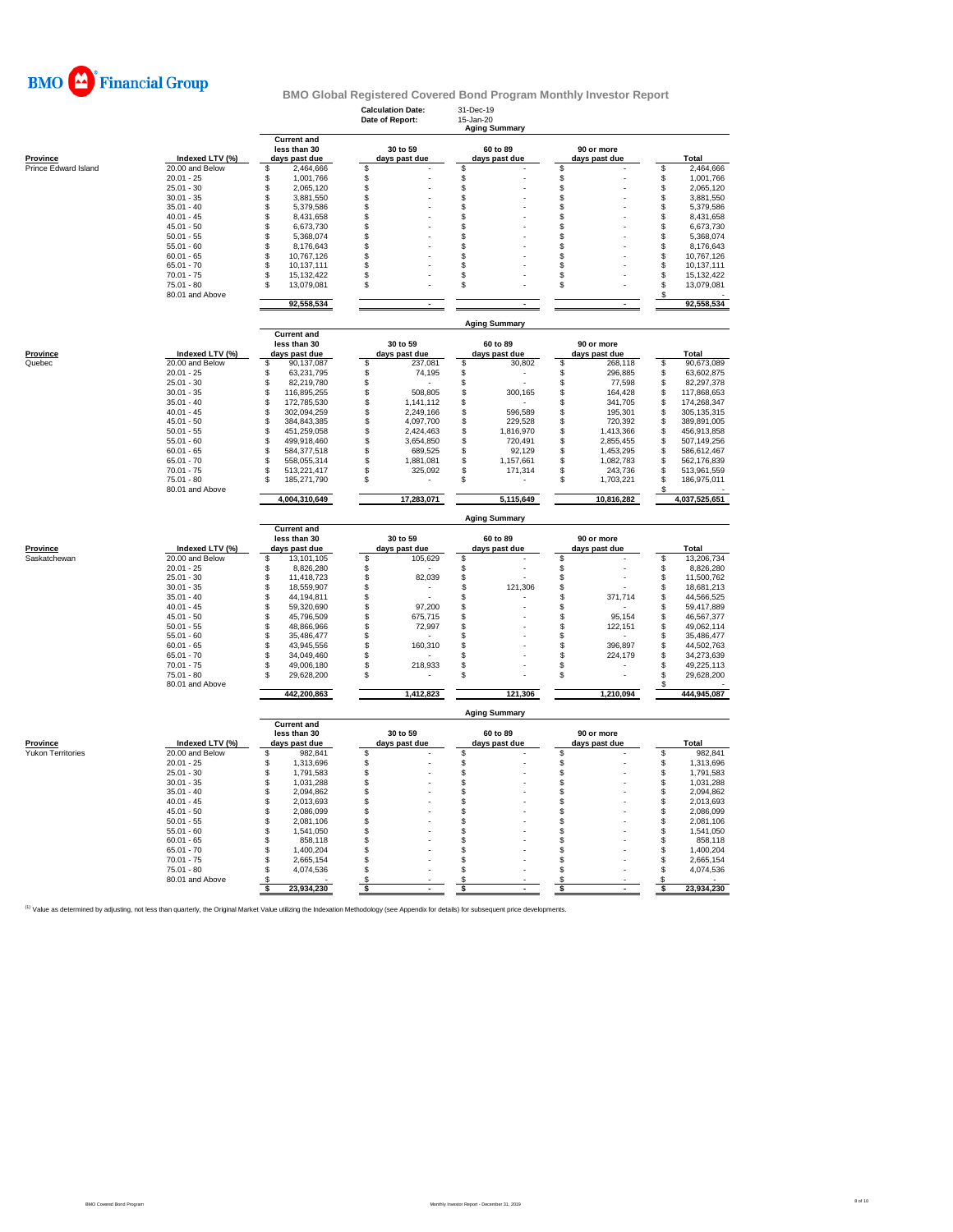

|                          |                                 |                                                     | <b>Calculation Date:</b><br>Date of Report: | 31-Dec-19<br>15-Jan-20    |                                |                    |                            |
|--------------------------|---------------------------------|-----------------------------------------------------|---------------------------------------------|---------------------------|--------------------------------|--------------------|----------------------------|
|                          |                                 |                                                     |                                             | <b>Aging Summary</b>      |                                |                    |                            |
| <b>Province</b>          | Indexed LTV (%)                 | <b>Current and</b><br>less than 30<br>days past due | 30 to 59<br>days past due                   | 60 to 89<br>days past due | 90 or more<br>days past due    |                    | Total                      |
| Prince Edward Island     | 20.00 and Below                 | \$<br>2,464,666                                     | \$                                          | \$                        | \$                             | \$                 | 2,464,666                  |
|                          | $20.01 - 25$                    | \$<br>1,001,766                                     | \$                                          | \$                        | \$                             | \$                 | 1,001,766                  |
|                          | $25.01 - 30$                    | \$<br>2,065,120                                     | \$                                          | \$                        | \$                             | \$                 | 2,065,120                  |
|                          | $30.01 - 35$<br>$35.01 - 40$    | \$<br>3,881,550                                     | \$                                          | \$<br>\$                  | \$<br>\$                       | \$                 | 3,881,550                  |
|                          | $40.01 - 45$                    | \$<br>5,379,586<br>8,431,658<br>\$                  | \$<br>S                                     | \$                        | \$                             | \$<br>\$           | 5,379,586<br>8,431,658     |
|                          | $45.01 - 50$                    | \$<br>6,673,730                                     | \$                                          | \$                        | \$                             | \$                 | 6,673,730                  |
|                          | $50.01 - 55$                    | \$<br>5,368,074                                     | \$                                          | \$                        | \$                             | \$                 | 5,368,074                  |
|                          | $55.01 - 60$                    | \$<br>8,176,643                                     | \$                                          | \$                        | \$                             | \$                 | 8,176,643                  |
|                          | $60.01 - 65$                    | \$<br>10,767,126                                    | \$                                          | \$                        | \$                             | \$                 | 10,767,126                 |
|                          | $65.01 - 70$                    | \$<br>10,137,111                                    | \$                                          | \$                        | \$                             | \$                 | 10,137,111                 |
|                          | $70.01 - 75$                    | \$<br>15.132.422                                    | \$                                          | \$                        | \$                             | \$                 | 15.132.422                 |
|                          | $75.01 - 80$<br>80.01 and Above | \$<br>13,079,081                                    | \$                                          | \$                        | \$                             | \$<br>\$           | 13,079,081                 |
|                          |                                 | 92,558,534                                          | $\blacksquare$                              |                           | ÷,                             |                    | 92,558,534                 |
|                          |                                 | <b>Current and</b>                                  |                                             | <b>Aging Summary</b>      |                                |                    |                            |
| Province                 | Indexed LTV (%)                 | less than 30<br>days past due                       | 30 to 59<br>days past due                   | 60 to 89<br>days past due | 90 or more<br>days past due    |                    | Total                      |
| Quebec                   | 20.00 and Below                 | \$<br>90,137,087                                    | \$<br>237,081                               | \$<br>30,802              | \$<br>268,118                  | \$                 | 90,673,089                 |
|                          | $20.01 - 25$                    | 63,231,795<br>S                                     | \$<br>74,195                                | S<br>٠                    | \$<br>296,885                  | \$                 | 63,602,875                 |
|                          | $25.01 - 30$                    | \$<br>82,219,780                                    | \$                                          | \$                        | \$<br>77,598                   | \$                 | 82,297,378                 |
|                          | $30.01 - 35$<br>$35.01 - 40$    | \$<br>116,895,255<br>\$<br>172,785,530              | \$<br>508,805<br>$\ddot{s}$<br>1,141,112    | \$<br>300,165<br>\$       | \$<br>164,428<br>\$<br>341,705 | \$<br>\$           | 117,868,653<br>174,268,347 |
|                          | $40.01 - 45$                    | \$<br>302,094,259                                   | \$<br>2,249,166                             | \$<br>596,589             | \$<br>195,301                  | \$                 | 305, 135, 315              |
|                          | $45.01 - 50$                    | \$<br>384,843,385                                   | \$<br>4,097,700                             | \$<br>229,528             | \$<br>720,392                  | \$                 | 389,891,005                |
|                          | $50.01 - 55$                    | \$<br>451,259,058                                   | \$<br>2,424,463                             | \$<br>1,816,970           | \$<br>1,413,366                | S                  | 456,913,858                |
|                          | $55.01 - 60$                    | 499,918,460<br>\$                                   | \$<br>3,654,850                             | \$<br>720,491             | \$<br>2,855,455                | \$                 | 507,149,256                |
|                          | $60.01 - 65$                    | 584,377,518<br>\$                                   | \$<br>689,525                               | \$<br>92,129              | \$<br>1,453,295                | \$                 | 586,612,467                |
|                          | $65.01 - 70$                    | S<br>558,055,314                                    | \$<br>1,881,081                             | \$<br>1,157,661           | \$<br>1,082,783                | s                  | 562,176,839                |
|                          | $70.01 - 75$                    | \$<br>513,221,417<br>\$                             | \$<br>325,092                               | \$.<br>171,314            | \$<br>243,736                  | \$.                | 513,961,559                |
|                          | $75.01 - 80$<br>80.01 and Above | 185,271,790                                         | \$                                          | \$                        | \$<br>1,703,221                | Ŝ                  | 186,975,011                |
|                          |                                 | 4,004,310,649                                       | 17,283,071                                  | 5,115,649                 | 10,816,282                     |                    | 4,037,525,651              |
|                          |                                 | <b>Current and</b>                                  |                                             | <b>Aging Summary</b>      |                                |                    |                            |
|                          |                                 | less than 30                                        | 30 to 59                                    | 60 to 89                  | 90 or more                     |                    |                            |
| <b>Province</b>          | Indexed LTV (%)                 | days past due                                       | days past due                               | days past due             | days past due                  |                    | Total                      |
| Saskatchewan             | 20.00 and Below<br>$20.01 - 25$ | 13,101,105<br>S<br>8,826,280<br>\$                  | \$<br>105,629                               | \$<br>\$                  | \$<br>\$                       | \$<br>\$           | 13,206,734<br>8,826,280    |
|                          | $25.01 - 30$                    | 11,418,723<br>\$                                    | \$<br>\$<br>82,039                          | \$                        | \$                             | \$                 | 11,500,762                 |
|                          | $30.01 - 35$                    | \$<br>18,559,907                                    | S                                           | \$<br>121,306             | \$                             | \$                 | 18,681,213                 |
|                          | $35.01 - 40$                    | \$<br>44,194,811                                    | \$<br>$\overline{a}$                        | \$                        | \$<br>371,714                  | \$                 | 44,566,525                 |
|                          | $40.01 - 45$                    | \$<br>59,320,690                                    | $\ddot{s}$<br>97,200                        | \$                        | \$                             | \$                 | 59,417,889                 |
|                          | $45.01 - 50$                    | \$<br>45,796,509                                    | \$<br>675,715                               | \$                        | \$<br>95,154                   | \$                 | 46,567,377                 |
|                          | $50.01 - 55$                    | \$<br>48,866,966                                    | \$<br>72,997                                | S                         | \$<br>122,151                  | \$                 | 49,062,114                 |
|                          | $55.01 - 60$                    | \$<br>35,486,477                                    | \$                                          | \$                        | \$                             | S                  | 35,486,477                 |
|                          | $60.01 - 65$                    | \$<br>43,945,556                                    | \$<br>160,310                               | \$                        | \$<br>396,897                  | \$                 | 44,502,763                 |
|                          | $65.01 - 70$                    | 34,049,460<br>\$<br>S                               | S                                           | \$<br>\$                  | \$<br>224,179                  | \$<br>\$           | 34,273,639                 |
|                          | $70.01 - 75$<br>$75.01 - 80$    | 49,006,180<br>\$<br>29,628,200                      | \$<br>218,933<br>\$                         | \$                        | \$<br>\$                       | $\mathbb{S}$       | 49,225,113<br>29,628,200   |
|                          | 80.01 and Above                 | 442,200,863                                         | 1,412,823                                   | 121,306                   | 1,210,094                      | S                  | 444,945,087                |
|                          |                                 |                                                     |                                             | <b>Aging Summary</b>      |                                |                    |                            |
|                          |                                 | <b>Current and</b><br>less than 30                  | 30 to 59                                    | 60 to 89                  | 90 or more                     |                    |                            |
| Province                 | Indexed LTV (%)                 | days past due                                       | days past due                               | days past due             | days past due                  |                    | Total                      |
| <b>Yukon Territories</b> | 20.00 and Below                 | \$<br>982,841                                       | \$                                          | \$                        | \$                             | \$                 | 982,841                    |
|                          | $20.01 - 25$                    | \$<br>1,313,696                                     | \$                                          | \$                        | \$                             | \$                 | 1,313,696                  |
|                          | $25.01 - 30$                    | 1,791,583<br>S                                      | \$                                          | \$                        | \$                             | \$                 | 1,791,583                  |
|                          | $30.01 - 35$                    | 1,031,288<br>\$                                     | \$                                          | \$                        | \$                             | \$                 | 1,031,288                  |
|                          | $35.01 - 40$                    | 2,094,862<br>\$                                     | \$                                          | \$                        | \$                             | \$                 | 2,094,862                  |
|                          | $40.01 - 45$                    | \$<br>2,013,693                                     | \$                                          | \$                        | \$                             | $\hat{\mathbb{S}}$ | 2,013,693                  |
|                          | $45.01 - 50$                    | \$<br>2,086,099                                     | \$                                          | \$                        | \$                             | \$                 | 2,086,099                  |
|                          |                                 |                                                     | S                                           | \$                        | \$                             | \$                 | 2,081,106                  |
|                          | $50.01 - 55$                    | 2,081,106<br>\$                                     |                                             |                           |                                |                    |                            |
|                          | $55.01 - 60$                    | \$<br>1,541,050                                     | \$                                          | \$                        | \$                             | \$                 | 1,541,050                  |
|                          | $60.01 - 65$                    | S<br>858,118                                        | \$                                          | S                         | \$                             | \$                 | 858,118                    |
|                          | $65.01 - 70$                    | \$<br>1,400,204                                     | \$                                          | \$                        | \$                             | \$                 | 1,400,204                  |
|                          | $70.01 - 75$<br>$75.01 - 80$    | \$<br>2,665,154<br>\$                               | \$<br>\$                                    | \$<br>\$                  | \$<br>\$                       | \$<br>\$           | 2,665,154                  |
|                          | 80.01 and Above                 | 4,074,536<br>S.<br>23,934,230                       | S                                           | \$                        | \$                             | S                  | 4,074,536<br>23,934,230    |

<sup>(1)</sup> Value as determined by adjusting, not less than quarterly, the Original Market Value utilizing the Indexation Methodology (see Appendix for details) for subsequent price developments.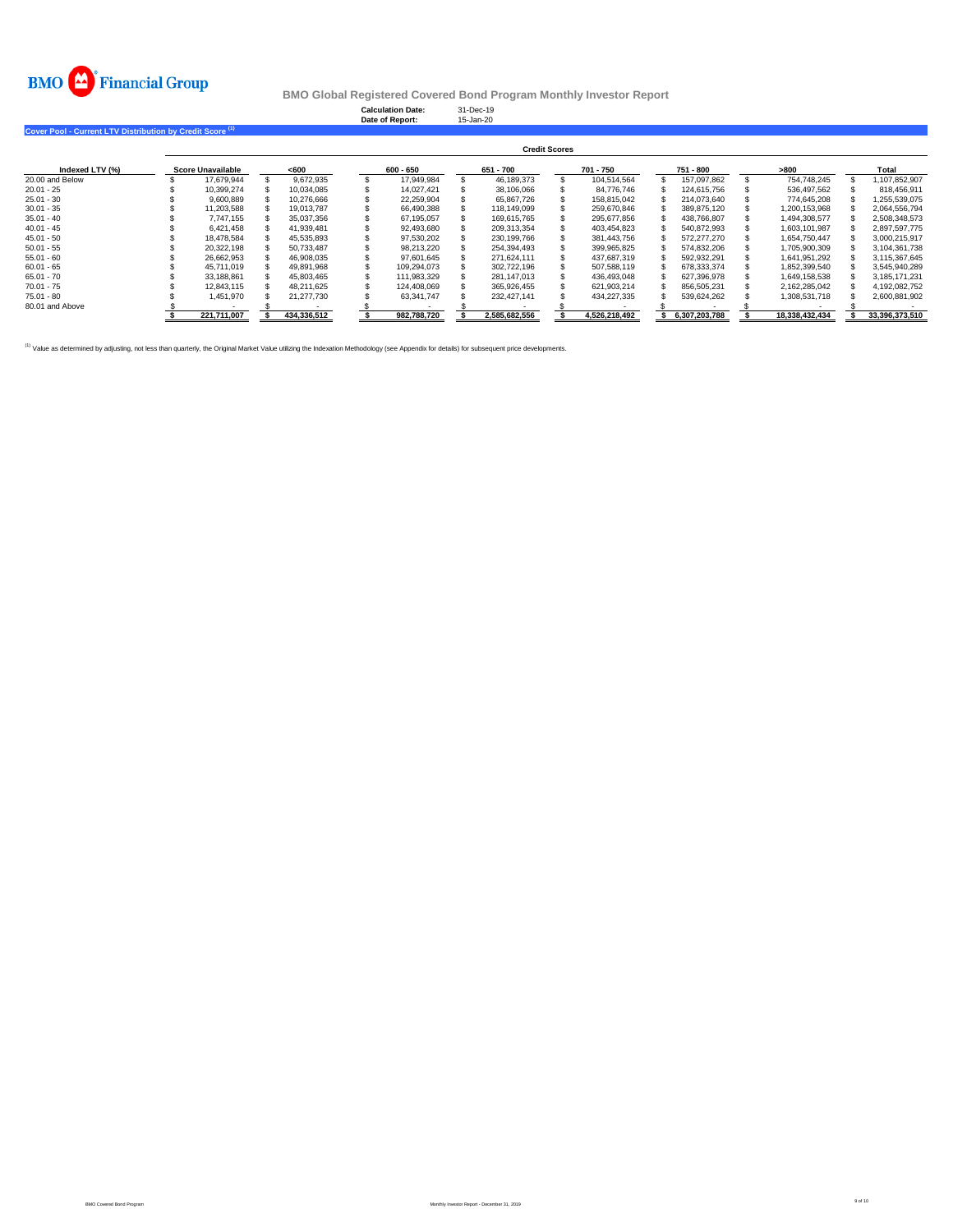

**Calculation Date:** 31-Dec-19 **Date of Report:** 15-Jan-20

**Cover Pool - Current LTV Distribution by Credit Score (1)** 

|                 | <b>Credit Scores</b>     |  |             |  |             |  |               |  |               |  |               |  |                |  |                |
|-----------------|--------------------------|--|-------------|--|-------------|--|---------------|--|---------------|--|---------------|--|----------------|--|----------------|
| Indexed LTV (%) | <b>Score Unavailable</b> |  | < 600       |  | $600 - 650$ |  | 651 - 700     |  | 701 - 750     |  | 751 - 800     |  | >800           |  | Total          |
| 20.00 and Below | 17.679.944               |  | 9.672.935   |  | 17.949.984  |  | 46.189.373    |  | 104.514.564   |  | 157.097.862   |  | 754.748.245    |  | 1.107.852.907  |
| $20.01 - 25$    | 10.399.274               |  | 10.034.085  |  | 14.027.421  |  | 38,106,066    |  | 84.776.746    |  | 124.615.756   |  | 536.497.562    |  | 818.456.911    |
| $25.01 - 30$    | 9.600.889                |  | 10.276.666  |  | 22.259.904  |  | 65.867.726    |  | 158.815.042   |  | 214.073.640   |  | 774.645.208    |  | 1.255.539.075  |
| $30.01 - 35$    | 11.203.588               |  | 19.013.787  |  | 66.490.388  |  | 118.149.099   |  | 259.670.846   |  | 389.875.120   |  | 1,200,153,968  |  | 2,064,556,794  |
| $35.01 - 40$    | 7.747.155                |  | 35.037.356  |  | 67.195.057  |  | 169.615.765   |  | 295.677.856   |  | 438.766.807   |  | 1.494.308.577  |  | 2.508.348.573  |
| $40.01 - 45$    | 6.421.458                |  | 41.939.481  |  | 92.493.680  |  | 209.313.354   |  | 403.454.823   |  | 540.872.993   |  | 1.603.101.987  |  | 2.897.597.775  |
| $45.01 - 50$    | 18.478.584               |  | 45.535.893  |  | 97.530.202  |  | 230,199,766   |  | 381.443.756   |  | 572.277.270   |  | 1.654.750.447  |  | 3,000,215,917  |
| $50.01 - 55$    | 20.322.198               |  | 50.733.487  |  | 98.213.220  |  | 254.394.493   |  | 399.965.825   |  | 574.832.206   |  | 1.705.900.309  |  | 3.104.361.738  |
| $55.01 - 60$    | 26,662,953               |  | 46.908.035  |  | 97.601.645  |  | 271.624.111   |  | 437.687.319   |  | 592,932,291   |  | 1.641.951.292  |  | 3,115,367,645  |
| $60.01 - 65$    | 45.711.019               |  | 49.891.968  |  | 109.294.073 |  | 302.722.196   |  | 507.588.119   |  | 678.333.374   |  | 1.852.399.540  |  | 3.545.940.289  |
| $65.01 - 70$    | 33.188.861               |  | 45.803.465  |  | 111.983.329 |  | 281.147.013   |  | 436.493.048   |  | 627.396.978   |  | 1.649.158.538  |  | 3.185.171.231  |
| $70.01 - 75$    | 12,843,115               |  | 48.211.625  |  | 124.408.069 |  | 365.926.455   |  | 621.903.214   |  | 856.505.231   |  | 2.162.285.042  |  | 4.192.082.752  |
| $75.01 - 80$    | 1.451.970                |  | 21.277.730  |  | 63.341.747  |  | 232.427.141   |  | 434.227.335   |  | 539.624.262   |  | 1.308.531.718  |  | 2.600.881.902  |
| 80.01 and Above |                          |  |             |  |             |  |               |  |               |  |               |  |                |  |                |
|                 | 221.711.007              |  | 434.336.512 |  | 982.788.720 |  | 2.585.682.556 |  | 4.526.218.492 |  | 6.307.203.788 |  | 18.338.432.434 |  | 33.396.373.510 |

<sup>(1)</sup> Value as determined by adjusting, not less than quarterly, the Original Market Value utilizing the Indexation Methodology (see Appendix for details) for subsequent price developments